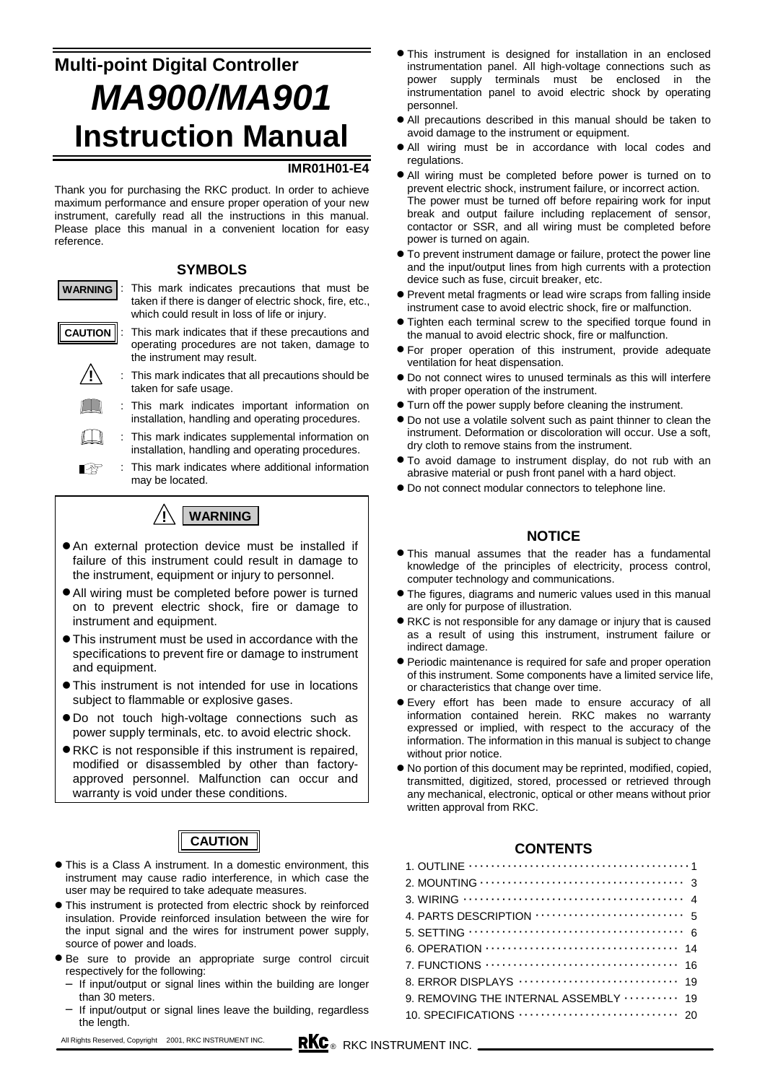# **Multi-point Digital Controller** *MA900/MA901* **Instruction Manual**

#### **IMR01H01-E4**

Thank you for purchasing the RKC product. In order to achieve maximum performance and ensure proper operation of your new instrument, carefully read all the instructions in this manual. Please place this manual in a convenient location for easy reference.

#### **SYMBOLS**

- : This mark indicates precautions that must be taken if there is danger of electric shock, fire, etc., which could result in loss of life or injury. This mark indicates that if these precautions and operating procedures are not taken, damage to **WARNING CAUTION**
	- the instrument may result.
	- : This mark indicates that all precautions should be taken for safe usage. **!**
		- : This mark indicates important information on installation, handling and operating procedures.
	- ∐ : This mark indicates supplemental information on installation, handling and operating procedures.
	- 啥 : This mark indicates where additional information may be located.



- $\bullet$  An external protection device must be installed if failure of this instrument could result in damage to the instrument, equipment or injury to personnel.
- $\bullet$  All wiring must be completed before power is turned on to prevent electric shock, fire or damage to instrument and equipment.
- !"This instrument must be used in accordance with the specifications to prevent fire or damage to instrument and equipment.
- !"This instrument is not intended for use in locations subject to flammable or explosive gases.
- $\bullet$  Do not touch high-voltage connections such as power supply terminals, etc. to avoid electric shock.
- !"RKC is not responsible if this instrument is repaired, modified or disassembled by other than factoryapproved personnel. Malfunction can occur and warranty is void under these conditions.

## **CAUTION**

- $\bullet$  This is a Class A instrument. In a domestic environment, this instrument may cause radio interference, in which case the user may be required to take adequate measures.
- $\bullet$  This instrument is protected from electric shock by reinforced insulation. Provide reinforced insulation between the wire for the input signal and the wires for instrument power supply, source of power and loads.
- !"Be sure to provide an appropriate surge control circuit respectively for the following:
- If input/output or signal lines within the building are longer than 30 meters.
- If input/output or signal lines leave the building, regardless the length.
- **This instrument is designed for installation in an enclosed** instrumentation panel. All high-voltage connections such as power supply terminals must be enclosed in the instrumentation panel to avoid electric shock by operating personnel.
- $\bullet$  All precautions described in this manual should be taken to avoid damage to the instrument or equipment.
- $\bullet$  All wiring must be in accordance with local codes and regulations.
- $\bullet$  All wiring must be completed before power is turned on to prevent electric shock, instrument failure, or incorrect action. The power must be turned off before repairing work for input break and output failure including replacement of sensor, contactor or SSR, and all wiring must be completed before power is turned on again.
- $\bullet$  To prevent instrument damage or failure, protect the power line and the input/output lines from high currents with a protection device such as fuse, circuit breaker, etc.
- $\bullet$  Prevent metal fragments or lead wire scraps from falling inside instrument case to avoid electric shock, fire or malfunction.
- $\bullet$  Tighten each terminal screw to the specified torque found in the manual to avoid electric shock, fire or malfunction.
- !"For proper operation of this instrument, provide adequate ventilation for heat dispensation.
- $\bullet$  Do not connect wires to unused terminals as this will interfere with proper operation of the instrument.
- $\bullet$  Turn off the power supply before cleaning the instrument.
- $\bullet$  Do not use a volatile solvent such as paint thinner to clean the instrument. Deformation or discoloration will occur. Use a soft, dry cloth to remove stains from the instrument.
- $\bullet$  To avoid damage to instrument display, do not rub with an abrasive material or push front panel with a hard object.
- $\bullet$  Do not connect modular connectors to telephone line.

### **NOTICE**

- **This manual assumes that the reader has a fundamental** knowledge of the principles of electricity, process control, computer technology and communications.
- **The figures, diagrams and numeric values used in this manual** are only for purpose of illustration.
- !"RKC is not responsible for any damage or injury that is caused as a result of using this instrument, instrument failure or indirect damage.
- $\bullet$  Periodic maintenance is required for safe and proper operation of this instrument. Some components have a limited service life, or characteristics that change over time.
- $\bullet$  Every effort has been made to ensure accuracy of all information contained herein. RKC makes no warranty expressed or implied, with respect to the accuracy of the information. The information in this manual is subject to change without prior notice.
- !"No portion of this document may be reprinted, modified, copied, transmitted, digitized, stored, processed or retrieved through any mechanical, electronic, optical or other means without prior written approval from RKC.

#### **CONTENTS**

| 8. ERROR DISPLAYS ······························ 19 |
|-----------------------------------------------------|
| 9. REMOVING THE INTERNAL ASSEMBLY  19               |
|                                                     |
|                                                     |

All Rights Reserved, Copyright © 2001, RKC INSTRUMENT INC. \_\_\_\_\_\_\_\_\_\_\_\_\_\_\_\_\_\_\_\_\_\_<br> **RKC** @ RKC INSTRUMENT INC. \_\_\_\_\_\_\_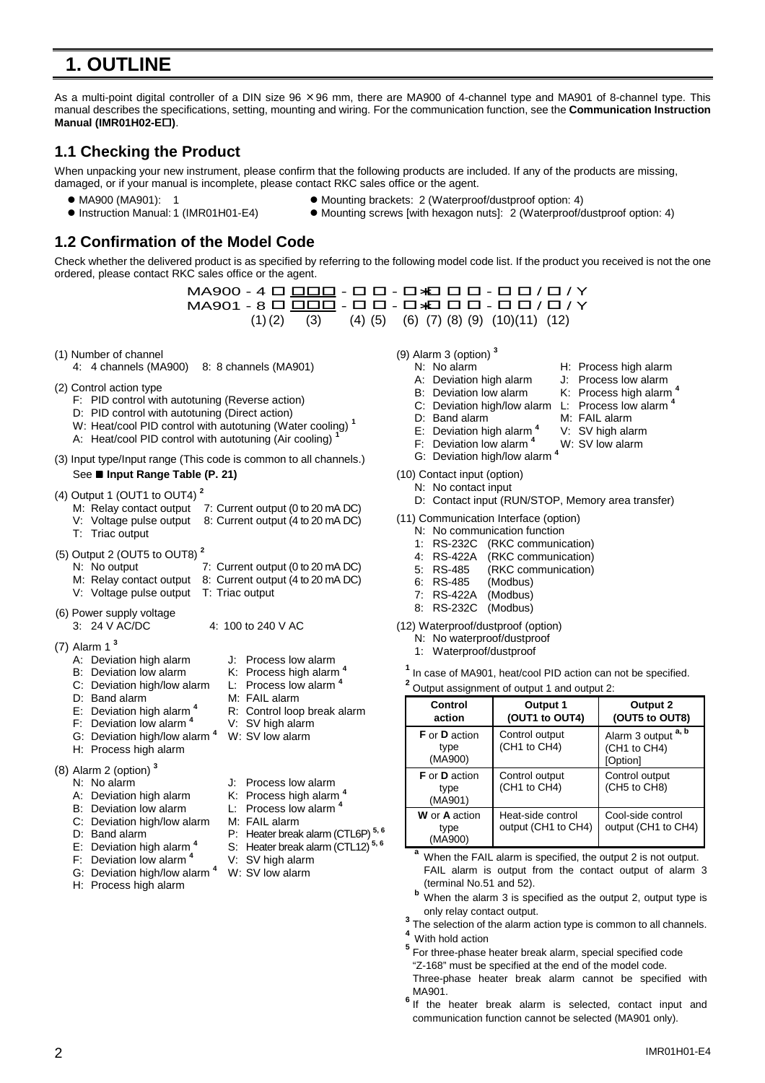# **1. OUTLINE**

As a multi-point digital controller of a DIN size 96 × 96 mm, there are MA900 of 4-channel type and MA901 of 8-channel type. This manual describes the specifications, setting, mounting and wiring. For the communication function, see the **Communication Instruction Manual (IMR01H02-EO).** 

### **1.1 Checking the Product**

When unpacking your new instrument, please confirm that the following products are included. If any of the products are missing, damaged, or if your manual is incomplete, please contact RKC sales office or the agent.

- 
- 
- MA900 (MA901): 1 Mounting brackets: 2 (Waterproof/dustproof option: 4)
- ! Instruction Manual: 1 (IMR01H01-E4) ! Mounting screws [with hexagon nuts]: 2 (Waterproof/dustproof option: 4)

### **1.2 Confirmation of the Model Code**

Check whether the delivered product is as specified by referring to the following model code list. If the product you received is not the one ordered, please contact RKC sales office or the agent.

> MA900 - 4 D <u>DOD</u> - D D - D\*D D D - D D / D / Y  $M$ A901 - 8  $\Box$   $\Box$  $\Box$  -  $\Box$   $\Box$  -  $\Box$   $\Box$   $\Box$   $\Box$   $\Box$  /  $\Upsilon$  $(1)(2)$   $(3)$   $(4)(5)$   $(6)$   $(7)(8)(9)$   $(10)(11)$   $(12)$

- (1) Number of channel
	- 4: 4 channels (MA900) 8: 8 channels (MA901)
- (2) Control action type
	- F: PID control with autotuning (Reverse action)
	- D: PID control with autotuning (Direct action)
	- W: Heat/cool PID control with autotuning (Water cooling) **<sup>1</sup>**
	- A: Heat/cool PID control with autotuning (Air cooling) **<sup>1</sup>**
- (3) Input type/Input range (This code is common to all channels.) See ■ Input Range Table (P. 21)
- (4) Output 1 (OUT1 to OUT4) **<sup>2</sup>**
	- M: Relay contact output 7: Current output (0 to 20 mA DC)
	- V: Voltage pulse output 8: Current output (4 to 20 mA DC)
	- T: Triac output
- (5) Output 2 (OUT5 to OUT8) **<sup>2</sup>**
	- N: No output 7: Current output (0 to 20 mA DC)
	- M: Relay contact output 8: Current output (4 to 20 mA DC)
	- V: Voltage pulse output T: Triac output
- (6) Power supply voltage
- 3: 24 V AC/DC 4: 100 to 240 V AC
- (7) Alarm 1 **<sup>3</sup>**
	- A: Deviation high alarm J: Process low alarm<br>B: Deviation low alarm K: Process high alarm
	-
	- C: Deviation high/low alarm L: Process low alarm **<sup>4</sup>**
	-
	- D: Band alarm M: FAIL alarm<br>E: Deviation high alarm 4 R: Control loop
	- F: Deviation low alarm **<sup>4</sup>** V: SV high alarm
	- G: Deviation high/low alarm **<sup>4</sup>** W: SV low alarm
	- H: Process high alarm
- (8) Alarm 2 (option) **<sup>3</sup>**
	-
	- N: No alarm J: Process low alarm<br>A: Deviation high alarm K: Process high alarm
	- B: Deviation low alarm L: Process low alarm
	- C: Deviation high/low alarm M: FAIL alarm
	-
	-
	- F: Deviation low alarm **<sup>4</sup>** V: SV high alarm
	- G: Deviation high/low alarm **<sup>4</sup>** W: SV low alarm
	- H: Process high alarm
- 
- K: Process high alarm <sup>4</sup>
- 
- 
- R: Control loop break alarm
- 
- -
- A: Deviation high alarm K: Process high alarm **<sup>4</sup>**
- 
- 
- 
- D: Band alarm P: Heater break alarm (CTL6P)<sup>5, 6</sup><br>E: Deviation high alarm <sup>4</sup> S: Heater break alarm (CTL12)<sup>5, 6</sup> S: Heater break alarm (CTL12)<sup>5, 6</sup>
	-
	-
	-
- (9) Alarm 3 (option) **<sup>3</sup>**
	- N: No alarm H: Process high alarm
		- A: Deviation high alarm J: Process low alarm
		-
		- B: Deviation low alarm K: Process high alarm<sup>4</sup> C: Deviation high/low alarm 1: Process low alarm<sup>4</sup> C: Deviation high/low alarm
		-
		- D: Band alarm M: FAIL alarm
		- E: Deviation high alarm **<sup>4</sup>** V: SV high alarm F: Deviation low alarm<sup>4</sup>
		- G: Deviation high/low alarm **<sup>4</sup>**
- (10) Contact input (option)
- N: No contact input
- D: Contact input (RUN/STOP, Memory area transfer)
- (11) Communication Interface (option)
	- N: No communication function
		-
	- 1: RS-232C (RKC communication) (RKC communication)
	- 5: RS-485 (RKC communication)<br>6: RS-485 (Modbus)
	- $6:$  RS-485
	- 7: RS-422A (Modbus)
	- 8: RS-232C (Modbus)
- (12) Waterproof/dustproof (option)
	- N: No waterproof/dustproof
	- 1: Waterproof/dustproof
	- **<sup>1</sup>** In case of MA901, heat/cool PID action can not be specified. **<sup>2</sup>** Output assignment of output 1 and output 2:

| Control<br>action                              | Output 1<br>(OUT1 to OUT4)               | Output 2<br>(OUT5 to OUT8)                      |
|------------------------------------------------|------------------------------------------|-------------------------------------------------|
| <b>F</b> or <b>D</b> action<br>type<br>(MA900) | Control output<br>(CH1 to CH4)           | Alarm 3 output a, b<br>(CH1 to CH4)<br>[Option] |
| <b>F</b> or <b>D</b> action<br>type<br>(MA901) | Control output<br>(CH1 to CH4)           | Control output<br>(CH5 to CH8)                  |
| W or A action<br>type<br>(MA900)               | Heat-side control<br>output (CH1 to CH4) | Cool-side control<br>output (CH1 to CH4)        |

When the FAIL alarm is specified, the output 2 is not output. FAIL alarm is output from the contact output of alarm 3 (terminal No.51 and 52).

- **b** When the alarm 3 is specified as the output 2, output type is
- only relay contact output.<br><sup>3</sup> The selection of the alarm action type is common to all channels.<br><sup>4</sup> With hold action
- 
- <sup>5</sup> For three-phase heater break alarm, special specified code "Z-168" must be specified at the end of the model code. Three-phase heater break alarm cannot be specified with
- MA901. **<sup>6</sup>** If the heater break alarm is selected, contact input and communication function cannot be selected (MA901 only).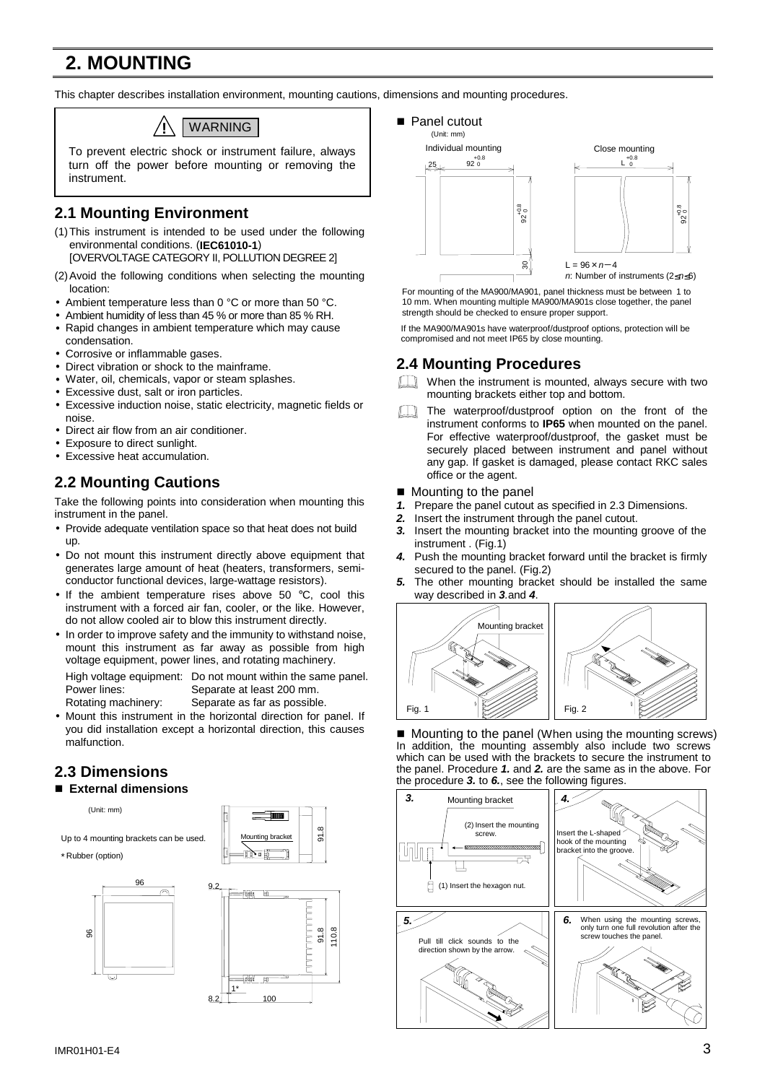# **2. MOUNTING**

This chapter describes installation environment, mounting cautions, dimensions and mounting procedures.



To prevent electric shock or instrument failure, always turn off the power before mounting or removing the instrument.

## **2.1 Mounting Environment**

- (1) This instrument is intended to be used under the following environmental conditions. (**IEC61010-1**) [OVERVOLTAGE CATEGORY II, POLLUTION DEGREE 2]
- (2) Avoid the following conditions when selecting the mounting
- location:
- Ambient temperature less than 0 °C or more than 50 °C.
- Ambient humidity of less than 45 % or more than 85 % RH. • Rapid changes in ambient temperature which may cause condensation.
- Corrosive or inflammable gases.
- Direct vibration or shock to the mainframe.
- Water, oil, chemicals, vapor or steam splashes.
- Excessive dust, salt or iron particles.
- Excessive induction noise, static electricity, magnetic fields or noise.
- Direct air flow from an air conditioner.
- Exposure to direct sunlight.
- Excessive heat accumulation.

## **2.2 Mounting Cautions**

Take the following points into consideration when mounting this instrument in the panel.

- Provide adequate ventilation space so that heat does not build up.
- Do not mount this instrument directly above equipment that generates large amount of heat (heaters, transformers, semiconductor functional devices, large-wattage resistors).
- If the ambient temperature rises above 50 °C, cool this instrument with a forced air fan, cooler, or the like. However, do not allow cooled air to blow this instrument directly.
- In order to improve safety and the immunity to withstand noise, mount this instrument as far away as possible from high voltage equipment, power lines, and rotating machinery.

High voltage equipment: Do not mount within the same panel. Power lines: Separate at least 200 mm. Rotating machinery: Separate as far as possible.

• Mount this instrument in the horizontal direction for panel. If you did installation except a horizontal direction, this causes malfunction.

## **2.3 Dimensions**

#### ■ External dimensions

(Unit: mm)

Up to 4 mounting brackets can be used.

\* Rubber (option)









For mounting of the MA900/MA901, panel thickness must be between 1 to 10 mm. When mounting multiple MA900/MA901s close together, the panel strength should be checked to ensure proper support.

If the MA900/MA901s have waterproof/dustproof options, protection will be compromised and not meet IP65 by close mounting.

## **2.4 Mounting Procedures**



When the instrument is mounted, always secure with two mounting brackets either top and bottom.

- The waterproof/dustproof option on the front of the instrument conforms to **IP65** when mounted on the panel. For effective waterproof/dustproof, the gasket must be securely placed between instrument and panel without any gap. If gasket is damaged, please contact RKC sales office or the agent.
- $\blacksquare$  Mounting to the panel
- *1.* Prepare the panel cutout as specified in 2.3 Dimensions.
- *2.* Insert the instrument through the panel cutout.
- *3.* Insert the mounting bracket into the mounting groove of the instrument . (Fig.1)
- *4.* Push the mounting bracket forward until the bracket is firmly secured to the panel. (Fig.2)
- *5.* The other mounting bracket should be installed the same way described in *3.*and *4*.



■ Mounting to the panel (When using the mounting screws) In addition, the mounting assembly also include two screws which can be used with the brackets to secure the instrument to the panel. Procedure *1.* and *2.* are the same as in the above. For the procedure *3.* to *6.*, see the following figures.

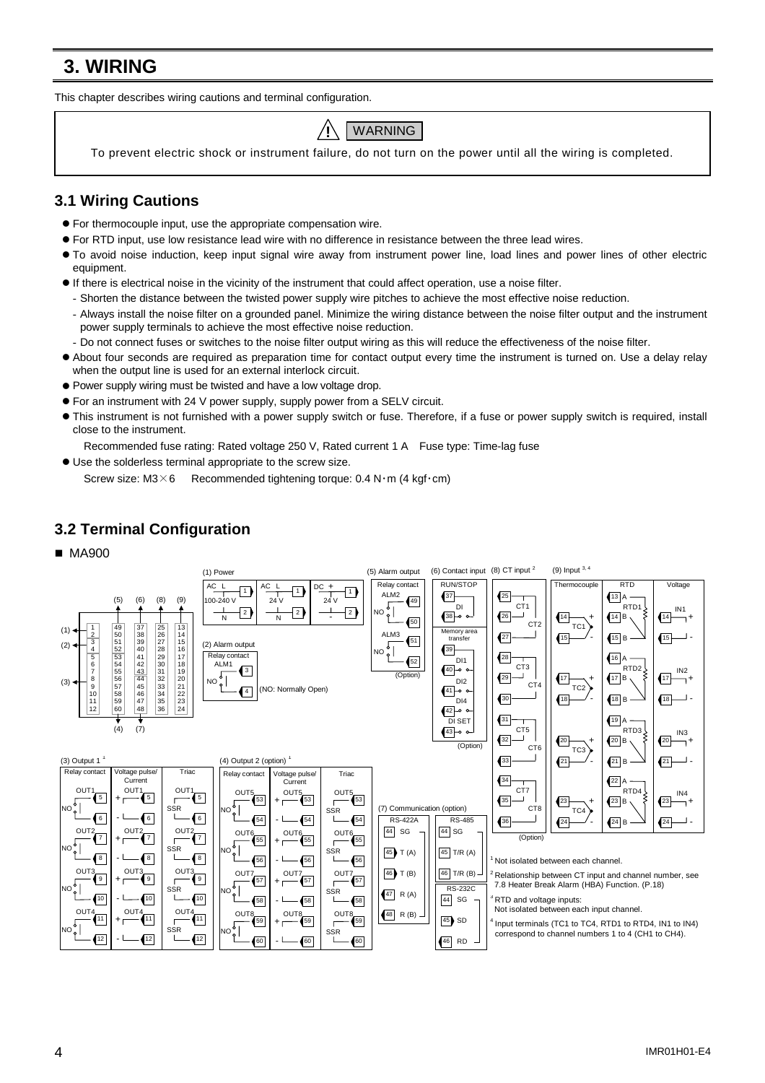# **3. WIRING**

This chapter describes wiring cautions and terminal configuration.



To prevent electric shock or instrument failure, do not turn on the power until all the wiring is completed.

### **3.1 Wiring Cautions**

- For thermocouple input, use the appropriate compensation wire.
- For RTD input, use low resistance lead wire with no difference in resistance between the three lead wires.
- #"To avoid noise induction, keep input signal wire away from instrument power line, load lines and power lines of other electric equipment.
- $\bullet$  If there is electrical noise in the vicinity of the instrument that could affect operation, use a noise filter.
- Shorten the distance between the twisted power supply wire pitches to achieve the most effective noise reduction.
- Always install the noise filter on a grounded panel. Minimize the wiring distance between the noise filter output and the instrument power supply terminals to achieve the most effective noise reduction.
- Do not connect fuses or switches to the noise filter output wiring as this will reduce the effectiveness of the noise filter.
- #"About four seconds are required as preparation time for contact output every time the instrument is turned on. Use a delay relay when the output line is used for an external interlock circuit.
- $\bullet$  Power supply wiring must be twisted and have a low voltage drop.
- For an instrument with 24 V power supply, supply power from a SELV circuit.
- #"This instrument is not furnished with a power supply switch or fuse. Therefore, if a fuse or power supply switch is required, install close to the instrument.
- Recommended fuse rating: Rated voltage 250 V, Rated current 1 A Fuse type: Time-lag fuse
- $\bullet$  Use the solderless terminal appropriate to the screw size.

Screw size:  $M3\times6$  Recommended tightening torque: 0.4 N·m (4 kgf·cm)

## **3.2 Terminal Configuration**



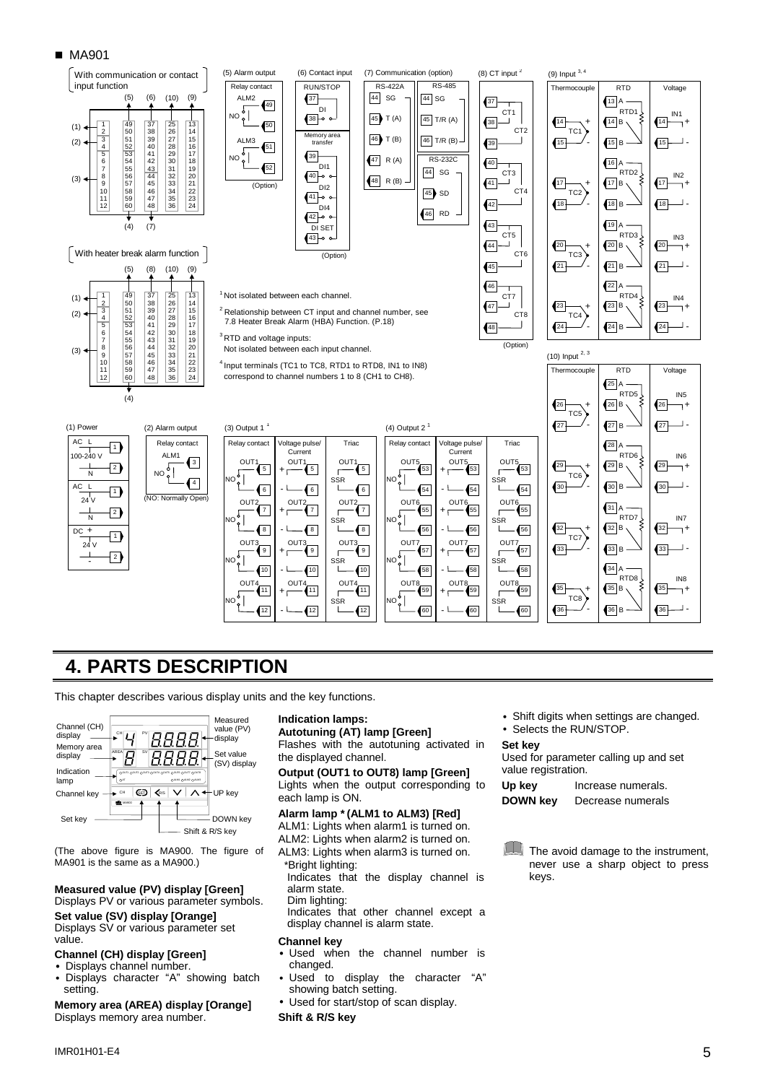#### ■ MA901



## **4. PARTS DESCRIPTION**

This chapter describes various display units and the key functions.



(The above figure is MA900. The figure of MA901 is the same as a MA900.)

#### **Measured value (PV) display [Green]** Displays PV or various parameter symbols.

**Set value (SV) display [Orange]** Displays SV or various parameter set value.

#### **Channel (CH) display [Green]**

- Displays channel number.
- Displays character "A" showing batch setting.

**Memory area (AREA) display [Orange]** Displays memory area number.

#### **Indication lamps:**

**Autotuning (AT) lamp [Green]** Flashes with the autotuning activated in the displayed channel.

**Output (OUT1 to OUT8) lamp [Green]** Lights when the output corresponding to each lamp is ON.

#### **Alarm lamp \*(ALM1 to ALM3) [Red]** ALM1: Lights when alarm1 is turned on.

- ALM2: Lights when alarm2 is turned on.
- ALM3: Lights when alarm3 is turned on.
- \*Bright lighting:

Indicates that the display channel is alarm state.

Dim lighting: Indicates that other channel except a

display channel is alarm state.

#### **Channel key**

- Used when the channel number is changed.
- Used to display the character "A" showing batch setting.
- Used for start/stop of scan display.

#### **Shift & R/S key**

• Shift digits when settings are changed.

• Selects the RUN/STOP.

#### **Set key**

Used for parameter calling up and set value registration.

**Up key** Increase numerals. **DOWN key** Decrease numerals

**The avoid damage to the instrument,** never use a sharp object to press keys.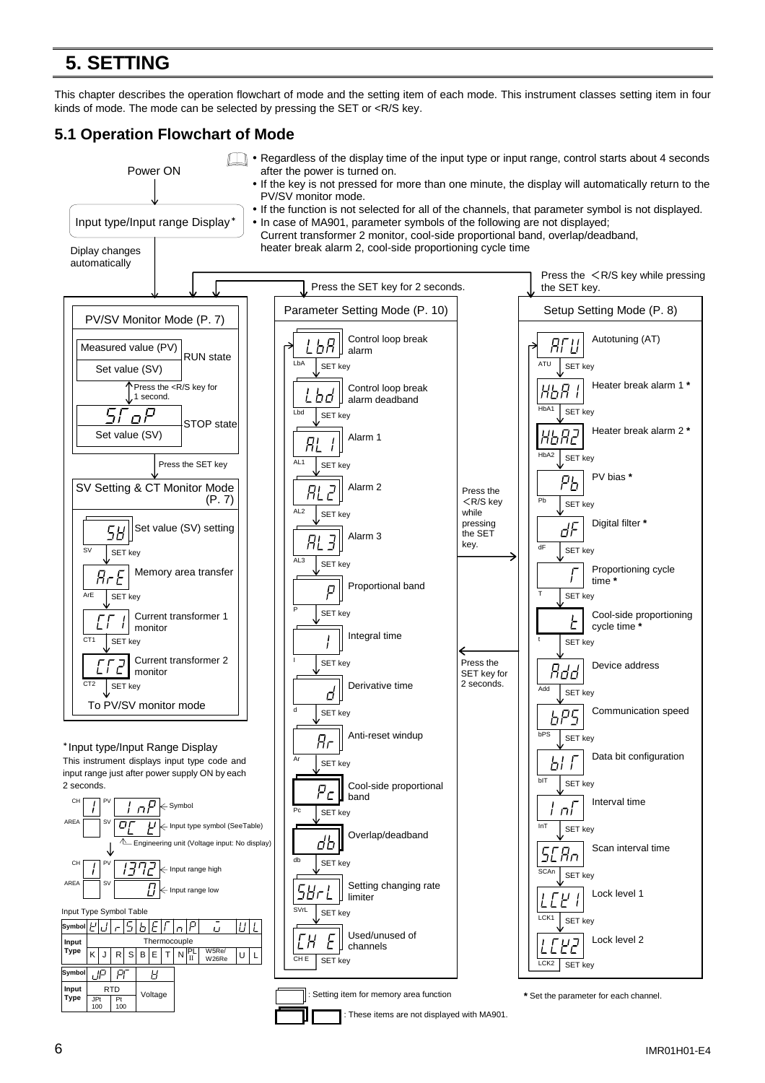# **5. SETTING**

This chapter describes the operation flowchart of mode and the setting item of each mode. This instrument classes setting item in four kinds of mode. The mode can be selected by pressing the SET or <R/S key.

## **5.1 Operation Flowchart of Mode**

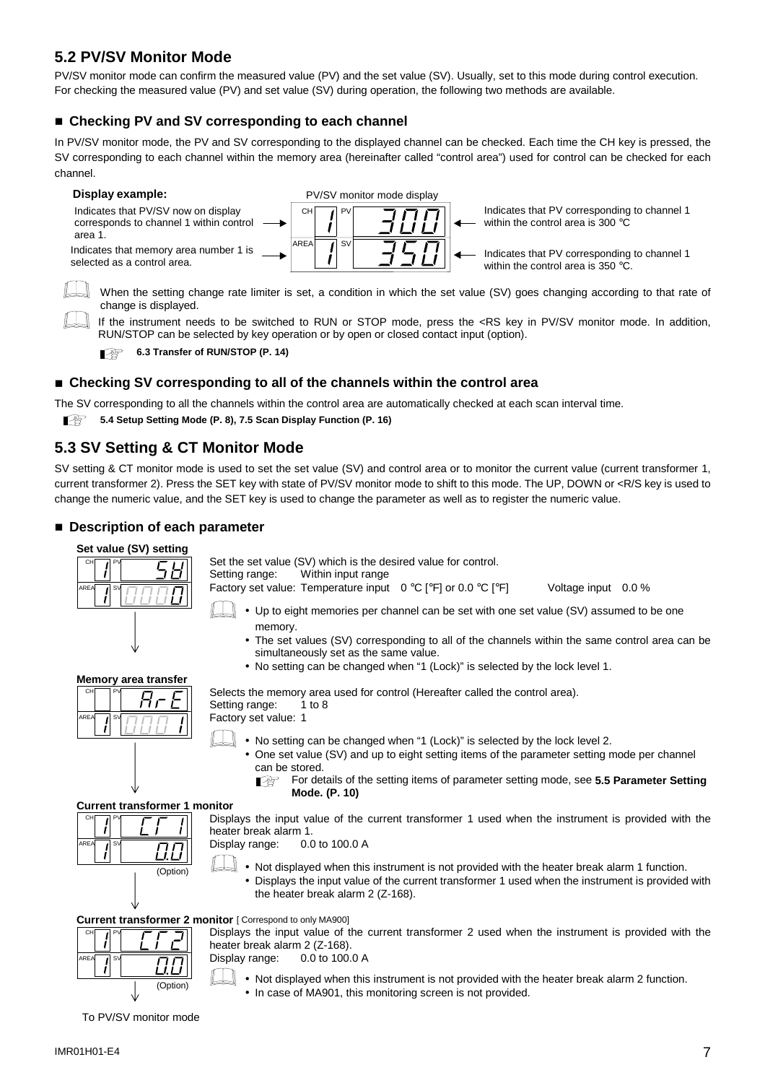## **5.2 PV/SV Monitor Mode**

PV/SV monitor mode can confirm the measured value (PV) and the set value (SV). Usually, set to this mode during control execution. For checking the measured value (PV) and set value (SV) during operation, the following two methods are available.

### ■ Checking PV and SV corresponding to each channel

In PV/SV monitor mode, the PV and SV corresponding to the displayed channel can be checked. Each time the CH key is pressed, the SV corresponding to each channel within the memory area (hereinafter called "control area") used for control can be checked for each channel.



When the setting change rate limiter is set, a condition in which the set value (SV) goes changing according to that rate of change is displayed.

If the instrument needs to be switched to RUN or STOP mode, press the <RS key in PV/SV monitor mode. In addition, RUN/STOP can be selected by key operation or by open or closed contact input (option).

**6.3 Transfer of RUN/STOP (P. 14)** 

#### !"**Checking SV corresponding to all of the channels within the control area**

The SV corresponding to all the channels within the control area are automatically checked at each scan interval time.

**5.4 Setup Setting Mode (P. 8), 7.5 Scan Display Function (P. 16)** 

### **5.3 SV Setting & CT Monitor Mode**

SV setting & CT monitor mode is used to set the set value (SV) and control area or to monitor the current value (current transformer 1, current transformer 2). Press the SET key with state of PV/SV monitor mode to shift to this mode. The UP, DOWN or <R/S key is used to change the numeric value, and the SET key is used to change the parameter as well as to register the numeric value.

### ■ Description of each parameter



Set the set value (SV) which is the desired value for control.

Setting range: Within input range

Factory set value: Temperature input 0 °C [°F] or 0.0 °C [°F] Voltage input 0.0 %

- Up to eight memories per channel can be set with one set value (SV) assumed to be one memory.
- The set values (SV) corresponding to all of the channels within the same control area can be simultaneously set as the same value.
- No setting can be changed when "1 (Lock)" is selected by the lock level 1.



Selects the memory area used for control (Hereafter called the control area). Setting range: 1 to 8

Factory set value: 1

- No setting can be changed when "1 (Lock)" is selected by the lock level 2.
	- One set value (SV) and up to eight setting items of the parameter setting mode per channel can be stored.
		- For details of the setting items of parameter setting mode, see **5.5 Parameter Setting**  $\mathbb{F}$ **Mode. (P. 10)**

#### **Current transformer 1 monitor**



Displays the input value of the current transformer 1 used when the instrument is provided with the heater break alarm 1.

Display range: 0.0 to 100.0 A

- Not displayed when this instrument is not provided with the heater break alarm 1 function.
- Displays the input value of the current transformer 1 used when the instrument is provided with the heater break alarm 2 (Z-168).

**Current transformer 2 monitor** [ Correspond to only MA900]



Displays the input value of the current transformer 2 used when the instrument is provided with the heater break alarm 2 (Z-168).

Display range: 0.0 to 100.0 A

• Not displayed when this instrument is not provided with the heater break alarm 2 function. • In case of MA901, this monitoring screen is not provided.

To PV/SV monitor mode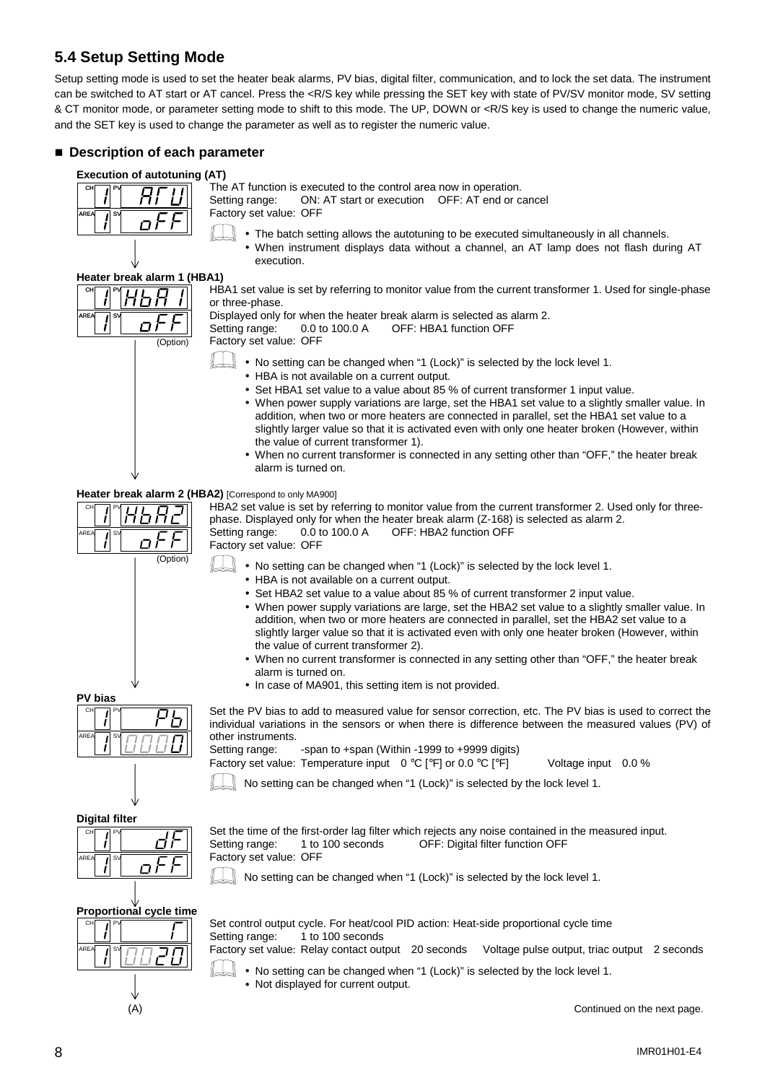## **5.4 Setup Setting Mode**

Setup setting mode is used to set the heater beak alarms, PV bias, digital filter, communication, and to lock the set data. The instrument can be switched to AT start or AT cancel. Press the <R/S key while pressing the SET key with state of PV/SV monitor mode, SV setting & CT monitor mode, or parameter setting mode to shift to this mode. The UP, DOWN or <R/S key is used to change the numeric value, and the SET key is used to change the parameter as well as to register the numeric value.

### ■ Description of each parameter

#### **Execution of autotuning (AT)**

| CH   | P١ |  |
|------|----|--|
| AREA | sv |  |
|      |    |  |

The AT function is executed to the control area now in operation.<br>Setting range: ON: AT start or execution OFF: AT end or c ON: AT start or execution OFF: AT end or cancel

Factory set value: OFF

- The batch setting allows the autotuning to be executed simultaneously in all channels.
	- When instrument displays data without a channel, an AT lamp does not flash during AT execution.

#### **Heater break alarm 1 (HBA1)**

CH / PV AREA| ⊿∣SV (Option)

HBA1 set value is set by referring to monitor value from the current transformer 1. Used for single-phase or three-phase.

Displayed only for when the heater break alarm is selected as alarm 2. Setting range: 0.0 to 100.0 A OFF: HBA1 function OFF Factory set value: OFF

- $\parallel \bullet$  No setting can be changed when "1 (Lock)" is selected by the lock level 1.
	- HBA is not available on a current output.
		- Set HBA1 set value to a value about 85 % of current transformer 1 input value.
	- When power supply variations are large, set the HBA1 set value to a slightly smaller value. In addition, when two or more heaters are connected in parallel, set the HBA1 set value to a slightly larger value so that it is activated even with only one heater broken (However, within the value of current transformer 1).
	- When no current transformer is connected in any setting other than "OFF," the heater break alarm is turned on.

#### **Heater break alarm 2 (HBA2)** [Correspond to only MA900]

(Option)

O

HBA2 set value is set by referring to monitor value from the current transformer 2. Used only for threephase. Displayed only for when the heater break alarm (Z-168) is selected as alarm 2. Setting range: 0.0 to 100.0 A OFF: HBA2 function OFF Factory set value: OFF

- No setting can be changed when "1 (Lock)" is selected by the lock level 1.
	- HBA is not available on a current output.
	- Set HBA2 set value to a value about 85 % of current transformer 2 input value.
	- When power supply variations are large, set the HBA2 set value to a slightly smaller value. In addition, when two or more heaters are connected in parallel, set the HBA2 set value to a slightly larger value so that it is activated even with only one heater broken (However, within the value of current transformer 2).
	- When no current transformer is connected in any setting other than "OFF," the heater break alarm is turned on.
	- In case of MA901, this setting item is not provided.

Set the PV bias to add to measured value for sensor correction, etc. The PV bias is used to correct the individual variations in the sensors or when there is difference between the measured values (PV) of other instruments.

CH PV AREA∣ *I*ISV

Setting range: -span to +span (Within -1999 to +9999 digits)

Factory set value: Temperature input 0 °C [°F] or 0.0 °C [°F] Voltage input 0.0 %

No setting can be changed when "1 (Lock)" is selected by the lock level 1.

**Digital filter**

**PV bias**

CH **I**PV

AREA 1SV



Set the time of the first-order lag filter which rejects any noise contained in the measured input. Setting range: 1 to 100 seconds OFF: Digital filter function OFF Factory set value: OFF

No setting can be changed when "1 (Lock)" is selected by the lock level 1.



Set control output cycle. For heat/cool PID action: Heat-side proportional cycle time<br>Setting range: 1 to 100 seconds 1 to 100 seconds

Factory set value: Relay contact output 20 seconds Voltage pulse output, triac output 2 seconds

- No setting can be changed when "1 (Lock)" is selected by the lock level 1.
- Not displayed for current output.

(A) Continued on the next page.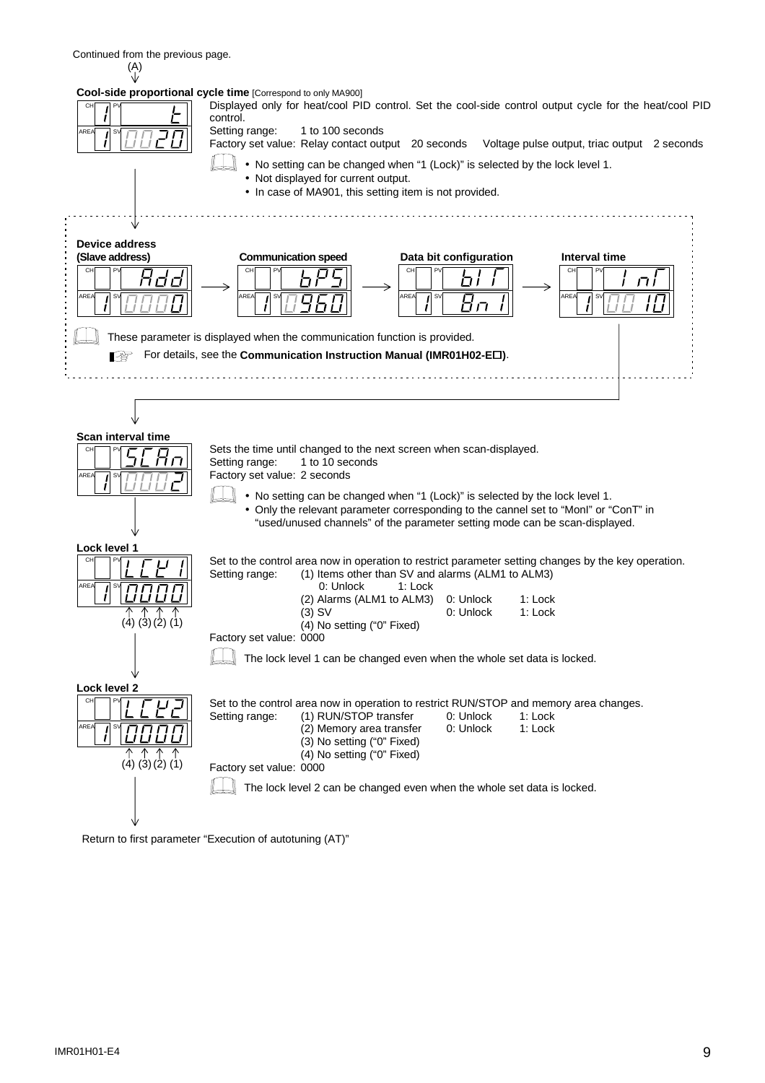

Return to first parameter "Execution of autotuning (AT)"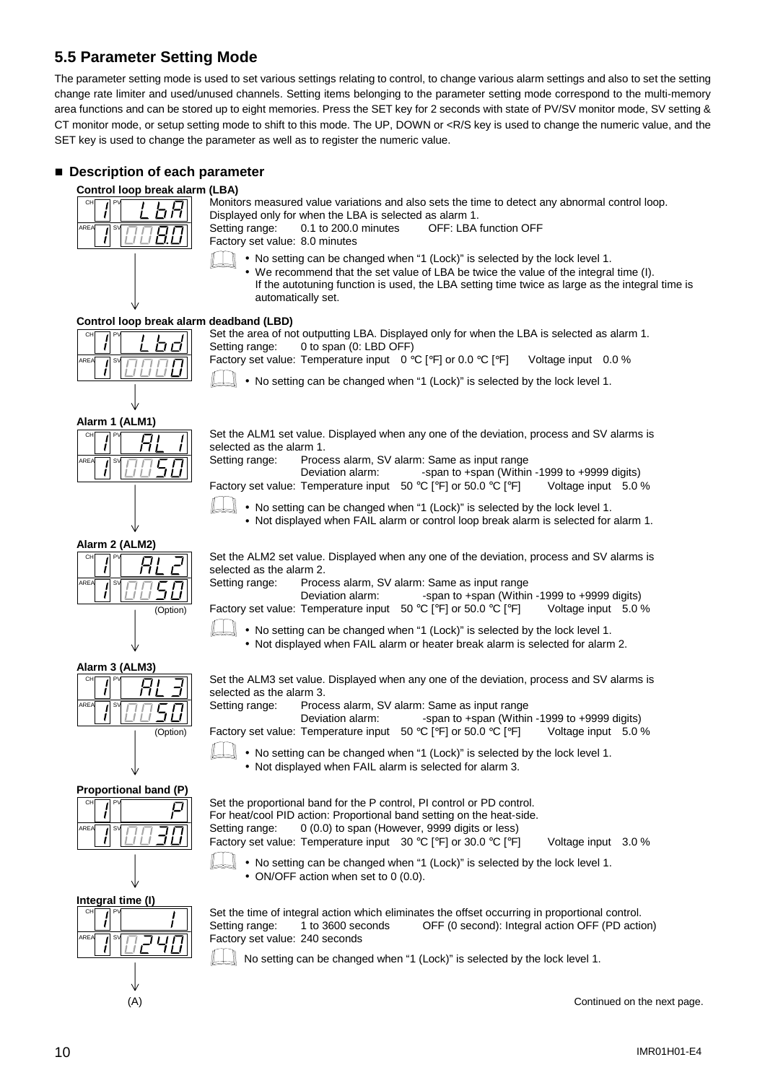## **5.5 Parameter Setting Mode**

The parameter setting mode is used to set various settings relating to control, to change various alarm settings and also to set the setting change rate limiter and used/unused channels. Setting items belonging to the parameter setting mode correspond to the multi-memory area functions and can be stored up to eight memories. Press the SET key for 2 seconds with state of PV/SV monitor mode, SV setting & CT monitor mode, or setup setting mode to shift to this mode. The UP, DOWN or <R/S key is used to change the numeric value, and the SET key is used to change the parameter as well as to register the numeric value.

### ■ Description of each parameter



Monitors measured value variations and also sets the time to detect any abnormal control loop. Displayed only for when the LBA is selected as alarm 1. Setting range: 0.1 to 200.0 minutes OFF: LBA function OFF

Factory set value: 8.0 minutes

- No setting can be changed when "1 (Lock)" is selected by the lock level 1.
	- We recommend that the set value of LBA be twice the value of the integral time (I). If the autotuning function is used, the LBA setting time twice as large as the integral time is automatically set.

#### **Control loop break alarm deadband (LBD)**



Set the area of not outputting LBA. Displayed only for when the LBA is selected as alarm 1. Setting range: 0 to span (0: LBD OFF) Factory set value: Temperature input 0 °C [°F] or 0.0 °C [°F] Voltage input 0.0 %

• No setting can be changed when "1 (Lock)" is selected by the lock level 1.

**Alarm 1 (ALM1)**

|      |           | AIAIIII I (ALIVII) |
|------|-----------|--------------------|
| CH   |           |                    |
| AREA | <b>SV</b> |                    |

Set the ALM1 set value. Displayed when any one of the deviation, process and SV alarms is selected as the alarm 1.

Setting range: Process alarm, SV alarm: Same as input range Deviation alarm: -span to +span (Within -1999 to +9999 digits) Factory set value: Temperature input 50 °C [°F] or 50.0 °C [°F] Voltage input 5.0 %

• No setting can be changed when "1 (Lock)" is selected by the lock level 1. • Not displayed when FAIL alarm or control loop break alarm is selected for alarm 1.

(Option)

**Alarm 2 (ALM2)** CH IPV

Set the ALM2 set value. Displayed when any one of the deviation, process and SV alarms is selected as the alarm 2. Setting range: Process alarm, SV alarm: Same as input range

Deviation alarm: -span to +span (Within -1999 to +9999 digits)

Factory set value: Temperature input 50 °C [°F] or 50.0 °C [°F] Voltage input 5.0 %

• No setting can be changed when "1 (Lock)" is selected by the lock level 1. • Not displayed when FAIL alarm or heater break alarm is selected for alarm 2.

Set the ALM3 set value. Displayed when any one of the deviation, process and SV alarms is selected as the alarm 3. Setting range: Process alarm, SV alarm: Same as input range

Deviation alarm: -span to +span (Within -1999 to +9999 digits)



**Alarm 3 (ALM3)**

CH **PV** 

AREA 1SV

**Proportional band (P)**



Set the proportional band for the P control, PI control or PD control. For heat/cool PID action: Proportional band setting on the heat-side. Setting range: 0 (0.0) to span (However, 9999 digits or less) Factory set value: Temperature input 30 °C [°F] or 30.0 °C [°F] Voltage input 3.0 %

• No setting can be changed when "1 (Lock)" is selected by the lock level 1.

• Not displayed when FAIL alarm is selected for alarm 3.

• No setting can be changed when "1 (Lock)" is selected by the lock level 1. • ON/OFF action when set to 0 (0.0).

Set the time of integral action which eliminates the offset occurring in proportional control. Setting range: 1 to 3600 seconds OFF (0 second): Integral action OFF (PD action) Factory set value: 240 seconds

No setting can be changed when "1 (Lock)" is selected by the lock level 1.

(A) Continued on the next page.





**Integral time (I)**

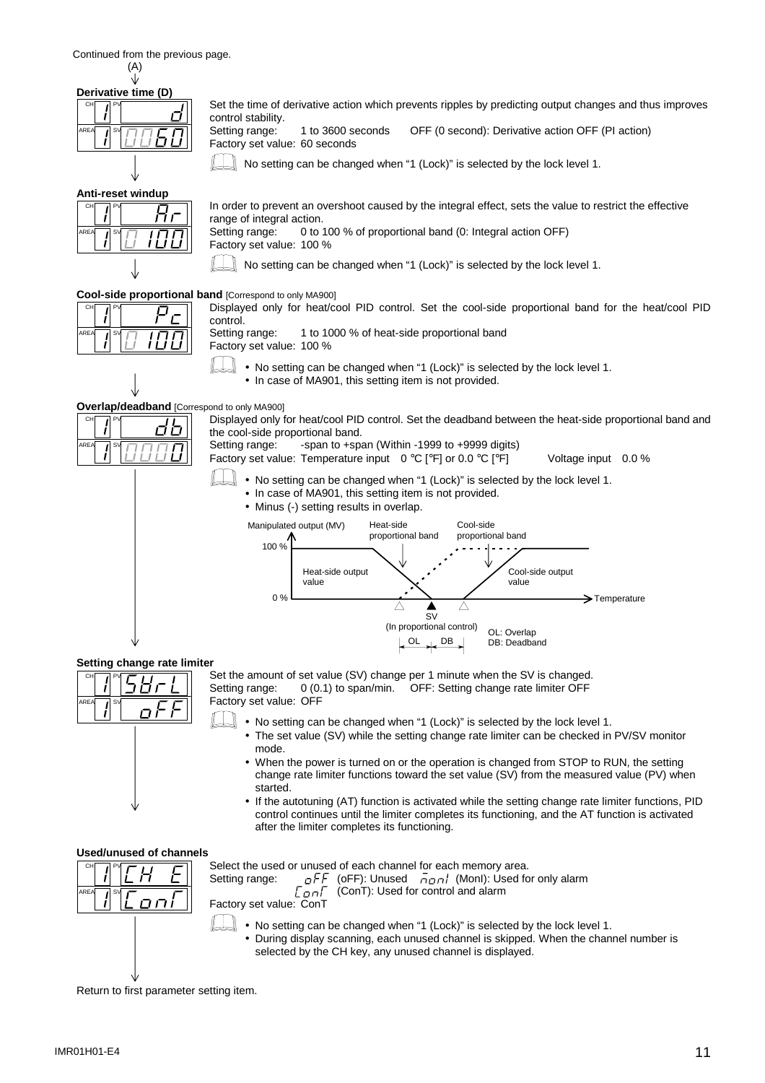Continued from the previous page. (A)

|      |    | Derivative time (D) |
|------|----|---------------------|
| CH   |    |                     |
| AREA | S١ |                     |
|      |    |                     |

Set the time of derivative action which prevents ripples by predicting output changes and thus improves control stability. Setting range: 1 to 3600 seconds OFF (0 second): Derivative action OFF (PI action)

Factory set value: 60 seconds

 $\Box$  No setting can be changed when "1 (Lock)" is selected by the lock level 1.

**Anti-reset windup**

| CH         |  |
|------------|--|
| AREA<br>SI |  |
|            |  |

J

In order to prevent an overshoot caused by the integral effect, sets the value to restrict the effective range of integral action.<br>Setting range: 0 to 0 to 100 % of proportional band (0: Integral action OFF)

Factory set value: 100 %

No setting can be changed when "1 (Lock)" is selected by the lock level 1.

**Cool-side proportional band** [Correspond to only MA900] Displayed only for heat/cool PID control. Set the cool-side proportional band for the heat/cool PID

| CH                   |  |
|----------------------|--|
| AREA<br>$S\setminus$ |  |

CH **I**PV

AREA∣ *I*ISV

control.<br>Setting range: 1 to 1000 % of heat-side proportional band

Factory set value: 100 %

- No setting can be changed when "1 (Lock)" is selected by the lock level 1.
	- In case of MA901, this setting item is not provided.

**Overlap/deadband** [Correspond to only MA900]

rih

Displayed only for heat/cool PID control. Set the deadband between the heat-side proportional band and the cool-side proportional band.

Setting range: -span to +span (Within -1999 to +9999 digits)

Factory set value: Temperature input 0 °C [°F] or 0.0 °C [°F] Voltage input 0.0 %

- No setting can be changed when "1 (Lock)" is selected by the lock level 1.
	- In case of MA901, this setting item is not provided.
	- Minus (-) setting results in overlap.



#### **Setting change rate limiter**



Set the amount of set value (SV) change per 1 minute when the SV is changed. Setting range: 0 (0.1) to span/min. OFF: Setting change rate limiter OFF Factory set value: OFF

- No setting can be changed when "1 (Lock)" is selected by the lock level 1.
	- The set value (SV) while the setting change rate limiter can be checked in PV/SV monitor mode.
	- When the power is turned on or the operation is changed from STOP to RUN, the setting change rate limiter functions toward the set value (SV) from the measured value (PV) when started.
- If the autotuning (AT) function is activated while the setting change rate limiter functions, PID control continues until the limiter completes its functioning, and the AT function is activated after the limiter completes its functioning.

#### **Used/unused of channels**



Select the used or unused of each channel for each memory area.

Setting range:  $\sigma FF$  (oFF): Unused  $\bar{H}$  (MonI): Used for only alarm  $\bar{L}$  on  $\bar{L}$  (ConT): Used for control and alarm (ConT): Used for control and alarm

Factory set value: ConT

- No setting can be changed when "1 (Lock)" is selected by the lock level 1.
- During display scanning, each unused channel is skipped. When the channel number is selected by the CH key, any unused channel is displayed.

Return to first parameter setting item.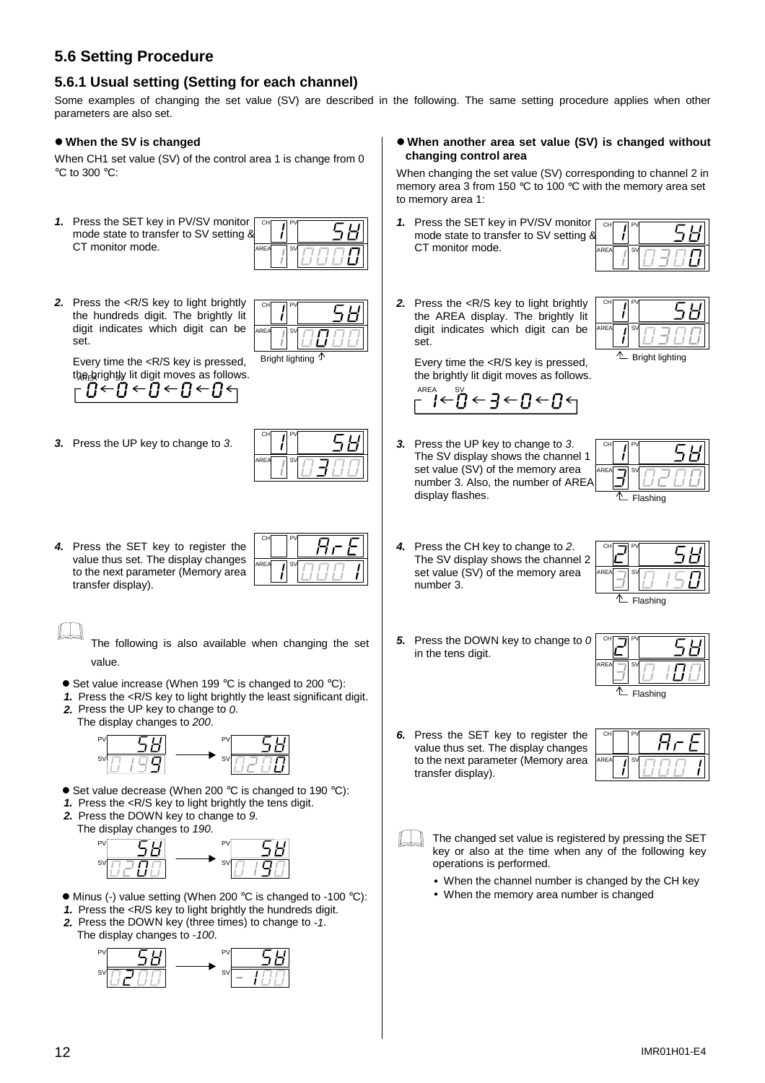## **5.6 Setting Procedure**

## **5.6.1 Usual setting (Setting for each channel)**

Some examples of changing the set value (SV) are described in the following. The same setting procedure applies when other parameters are also set.

#### !"**When the SV is changed**

When CH1 set value (SV) of the control area 1 is change from 0 °C to 300 °C:

*1.* Press the SET key in PV/SV monitor mode state to transfer to SV setting  $\delta$ CT monitor mode. CH **IPV** AREA / SV

| r | CH   |    |  |
|---|------|----|--|
|   | AREA | sv |  |

*2.* Press the <R/S key to light brightly the hundreds digit. The brightly lit digit indicates which digit can be set.

CH<sub>1</sub>PV AREA <sub>I</sub> SV Bright lighting

Every time the <R/S key is pressed, the <u>b</u>rightly lit digit moves as follows.

*3.* Press the UP key to change to *3*.



CH PV

AREA SV

*4.* Press the SET key to register the value thus set. The display changes to the next parameter (Memory area transfer display).

The following is also available when changing the set value.

- $\bullet$  Set value increase (When 199 °C is changed to 200 °C):
- *1.* Press the <R/S key to light brightly the least significant digit. *2.* Press the UP key to change to *0*.
- The display changes to *200*.



- $\bullet$  Set value decrease (When 200 °C is changed to 190 °C):
- *1.* Press the <R/S key to light brightly the tens digit.
- *2.* Press the DOWN key to change to *9*.
- The display changes to *190*.



- $\bullet$  Minus (-) value setting (When 200 °C is changed to -100 °C):
- *1.* Press the <R/S key to light brightly the hundreds digit.
- *2.* Press the DOWN key (three times) to change to *-1*. The display changes to *-100*.



!"**When another area set value (SV) is changed without changing control area**

When changing the set value (SV) corresponding to channel 2 in memory area 3 from 150 °C to 100 °C with the memory area set to memory area 1:

1. Press the SET key in PV/SV monito mode state to transfer to SV setting CT monitor mode.

| ୡ | CH   |    |  |
|---|------|----|--|
|   | AREA | S١ |  |

*2.* Press the <R/S key to light brightly the AREA display. The brightly lit digit indicates which digit can be set.



Every time the <R/S key is pressed, the brightly lit digit moves as follows.

$$
\stackrel{\text{\tiny{AFEA}}}{\leftarrow} \stackrel{\text{\tiny{SV}}}{\leftarrow} \stackrel{\text{\tiny{SV}}}{\leftarrow} \frac{\leftarrow}{\leftarrow} \frac{\leftarrow}{\leftarrow} \frac{\leftarrow}{\leftarrow} \frac{\leftarrow}{\leftarrow} \frac{\leftarrow}{\leftarrow}
$$

*3.* Press the UP key to change to *3*. The SV display shows the channel 1 set value (SV) of the memory area number 3. Also, the number of AREA display flashes.



*4.* Press the CH key to change to *2*. The SV display shows the channel 2 set value (SV) of the memory area number 3.

in the tens digit.

| CН                |          |
|-------------------|----------|
| AREA<br><b>SV</b> |          |
|                   | Flashing |

*5.* Press the DOWN key to change to *0*

| 0 | CH                       |  |
|---|--------------------------|--|
|   | <b>AREA</b><br><b>SV</b> |  |
|   | Flashing                 |  |

*6.* Press the SET key to register the value thus set. The display changes to the next parameter (Memory area transfer display).

| CH   | P <sub>1</sub> |  |
|------|----------------|--|
| AREA | sv             |  |

The changed set value is registered by pressing the SET key or also at the time when any of the following key operations is performed.

- When the channel number is changed by the CH key
- When the memory area number is changed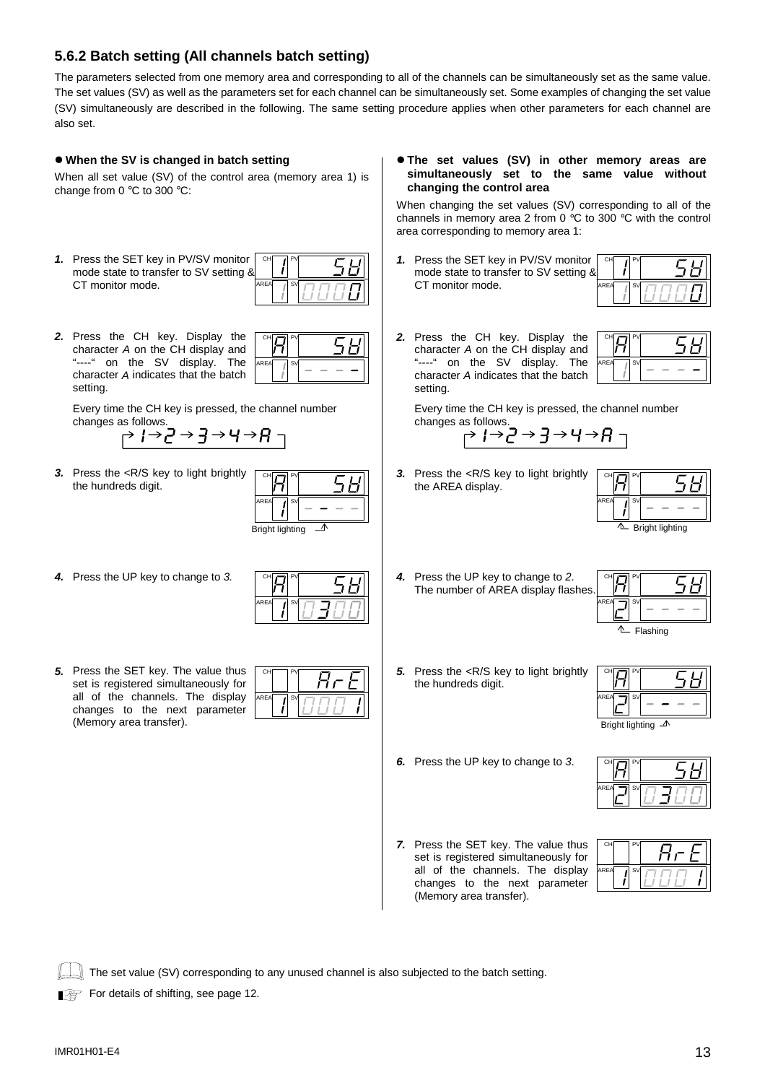### **5.6.2 Batch setting (All channels batch setting)**

The parameters selected from one memory area and corresponding to all of the channels can be simultaneously set as the same value. The set values (SV) as well as the parameters set for each channel can be simultaneously set. Some examples of changing the set value (SV) simultaneously are described in the following. The same setting procedure applies when other parameters for each channel are also set.

#### !"**When the SV is changed in batch setting**

When all set value (SV) of the control area (memory area 1) is change from 0 °C to 300 °C:

*1.* Press the SET key in PV/SV monitor mode state to transfer to SV setting & CT monitor mode. CH **I**PV AREA SV

| CH   |    |  |
|------|----|--|
| AREA | S\ |  |

*2.* Press the CH key. Display the character *A* on the CH display and "----" on the SV display. The character *A* indicates that the batch setting.



Every time the CH key is pressed, the channel number changes as follows.

$$
\overline{p} \rightarrow \overline{p} \rightarrow \overline{p} \rightarrow \overline{p} \rightarrow \overline{p} \rightarrow \overline{p}
$$

*3.* Press the <R/S key to light brightly the hundreds digit.

| CH              |  |  |
|-----------------|--|--|
| AREA<br>S١      |  |  |
| Bright lighting |  |  |

*4.* Press the UP key to change to *3.*

| СH   |    |  |
|------|----|--|
| AREA | S) |  |

*5.* Press the SET key. The value thus set is registered simultaneously for all of the channels. The display changes to the next parameter (Memory area transfer).

| CH   | Þ            |
|------|--------------|
| AREA | $S\setminus$ |

!"**The set values (SV) in other memory areas are simultaneously set to the same value without changing the control area**

When changing the set values (SV) corresponding to all of the channels in memory area 2 from 0 °C to 300 °C with the control area corresponding to memory area 1:

1. Press the SET key in PV/SV monitor  $\Box$  PV mode state to transfer to SV setting CT monitor mode. AREA∣ <sub>I</sub>∣SV

| :or<br>g & | CH   | P١        |  |
|------------|------|-----------|--|
|            | AREA | <b>SV</b> |  |
|            |      |           |  |

*2.* Press the CH key. Display the character *A* on the CH display and "----" on the SV display. The character *A* indicates that the batch setting.

|        | CH                |  |
|--------|-------------------|--|
| י<br>ı | AREA<br><b>SV</b> |  |

Every time the CH key is pressed, the channel number changes as follows.

$$
\rightarrow I \rightarrow \underline{P} \rightarrow \underline{P} \rightarrow H \rightarrow H
$$

*3.* Press the <R/S key to light brightly the AREA display.

| CH                     |  |  |
|------------------------|--|--|
| AREA<br><b>SV</b>      |  |  |
| <b>Bright lighting</b> |  |  |

*4.* Press the UP key to change to *2*. The number of AREA display flashes.

| CH               |  |
|------------------|--|
| ARE<br><b>SV</b> |  |
|                  |  |

- Flashing
- 5. Press the <R/S key to light brightly the hundreds digit.

| СH                            |  |
|-------------------------------|--|
| <b>SV</b><br>AREA             |  |
| Bright lighting $\mathcal{A}$ |  |

*6.* Press the UP key to change to *3*.

| C <sub>h</sub> |  |
|----------------|--|
| S١<br>ARE.     |  |

*7.* Press the SET key. The value thus set is registered simultaneously for all of the channels. The display changes to the next parameter (Memory area transfer).



The set value (SV) corresponding to any unused channel is also subjected to the batch setting.

For details of shifting, see page 12.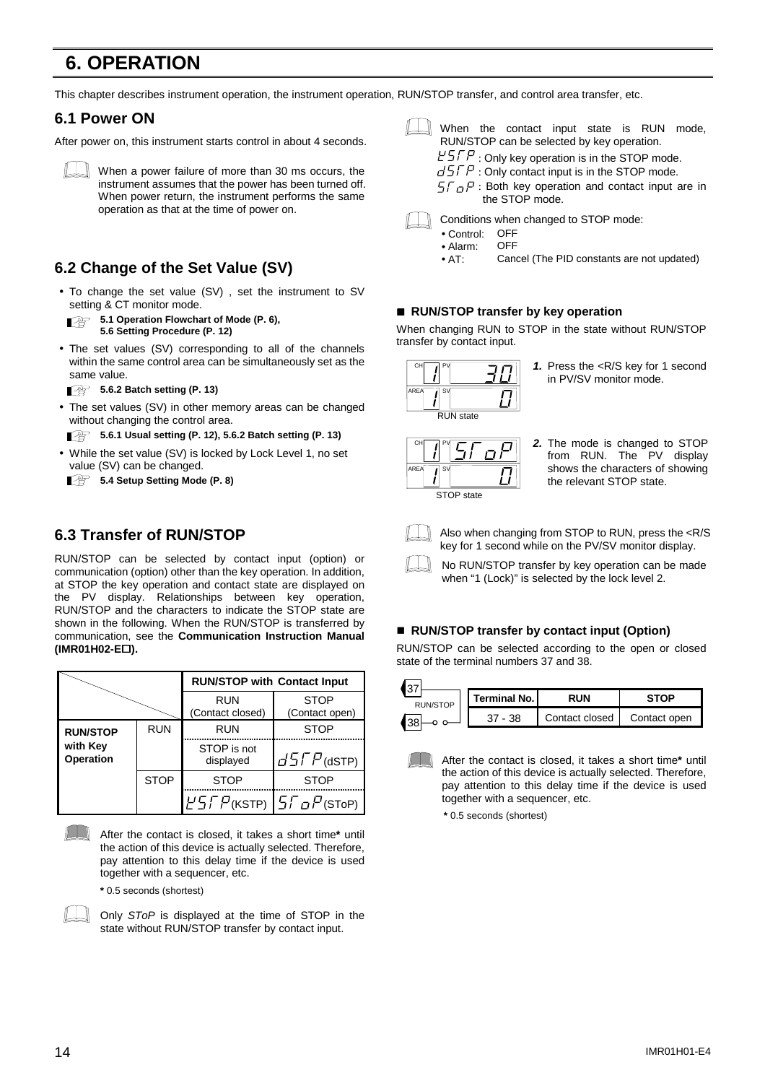# **6. OPERATION**

This chapter describes instrument operation, the instrument operation, RUN/STOP transfer, and control area transfer, etc.

### **6.1 Power ON**

After power on, this instrument starts control in about 4 seconds.



When a power failure of more than 30 ms occurs, the instrument assumes that the power has been turned off. When power return, the instrument performs the same operation as that at the time of power on.

## **6.2 Change of the Set Value (SV)**

• To change the set value (SV) , set the instrument to SV setting & CT monitor mode.

**5.1 Operation Flowchart of Mode (P. 6)**, **5.6 Setting Procedure (P. 12)**

• The set values (SV) corresponding to all of the channels within the same control area can be simultaneously set as the same value.

**5.6.2 Batch setting (P. 13)**

• The set values (SV) in other memory areas can be changed without changing the control area.

**5.6.1 Usual setting (P. 12), 5.6.2 Batch setting (P. 13)**

• While the set value (SV) is locked by Lock Level 1, no set value (SV) can be changed.

**5.4 Setup Setting Mode (P. 8)** 

### **6.3 Transfer of RUN/STOP**

RUN/STOP can be selected by contact input (option) or communication (option) other than the key operation. In addition, at STOP the key operation and contact state are displayed on the PV display. Relationships between key operation, RUN/STOP and the characters to indicate the STOP state are shown in the following. When the RUN/STOP is transferred by communication, see the **Communication Instruction Manual (IMR01H02-E<sub>[1]</sub>).** 

|                              |             | <b>RUN/STOP with Contact Input</b> |                               |
|------------------------------|-------------|------------------------------------|-------------------------------|
|                              |             | <b>RUN</b><br>(Contact closed)     | <b>STOP</b><br>(Contact open) |
| <b>RUN/STOP</b>              | <b>RUN</b>  | <b>RUN</b>                         | <b>STOP</b>                   |
| with Key<br><b>Operation</b> |             | STOP is not<br>displayed           | $G5FP$ (dSTP)                 |
|                              | <b>STOP</b> | <b>STOP</b>                        | <b>STOP</b>                   |
|                              |             | $F5FP$ (KSTP) $5F_0F$ (SToP)       |                               |

After the contact is closed, it takes a short time**\*** until the action of this device is actually selected. Therefore, pay attention to this delay time if the device is used together with a sequencer, etc.

**\*** 0.5 seconds (shortest)



Only *SToP* is displayed at the time of STOP in the state without RUN/STOP transfer by contact input.



When the contact input state is RUN mode, RUN/STOP can be selected by key operation.

 $E^{\prime}$ : Only key operation is in the STOP mode.

- $\sqrt{J}$ : Only contact input is in the STOP mode.
- $5\sqrt{F}$ : Both key operation and contact input are in the STOP mode.



- Conditions when changed to STOP mode:
	- Control: OFF<br>• Alarm: OFF
- Alarm:<br>• AT:
	- Cancel (The PID constants are not updated)

#### ■ RUN/STOP transfer by key operation

When changing RUN to STOP in the state without RUN/STOP transfer by contact input.

| CH   |    |                  |
|------|----|------------------|
| AREA | S١ |                  |
|      |    | <b>RUN</b> state |

*1.* Press the <R/S key for 1 second in PV/SV monitor mode.



*2.* The mode is changed to STOP from RUN. The PV display shows the characters of showing the relevant STOP state.



Also when changing from STOP to RUN, press the <R/S key for 1 second while on the PV/SV monitor display.

No RUN/STOP transfer by key operation can be made when "1 (Lock)" is selected by the lock level 2.

#### ■ RUN/STOP transfer by contact input (Option)

RUN/STOP can be selected according to the open or closed state of the terminal numbers 37 and 38.

| 137      |                |                |              |
|----------|----------------|----------------|--------------|
| RUN/STOP | Terminal No. I | <b>RUN</b>     | ≳т∩Р         |
|          | 38.            | Contact closed | Contact open |
|          |                |                |              |

After the contact is closed, it takes a short time**\*** until the action of this device is actually selected. Therefore, pay attention to this delay time if the device is used together with a sequencer, etc.

**\*** 0.5 seconds (shortest)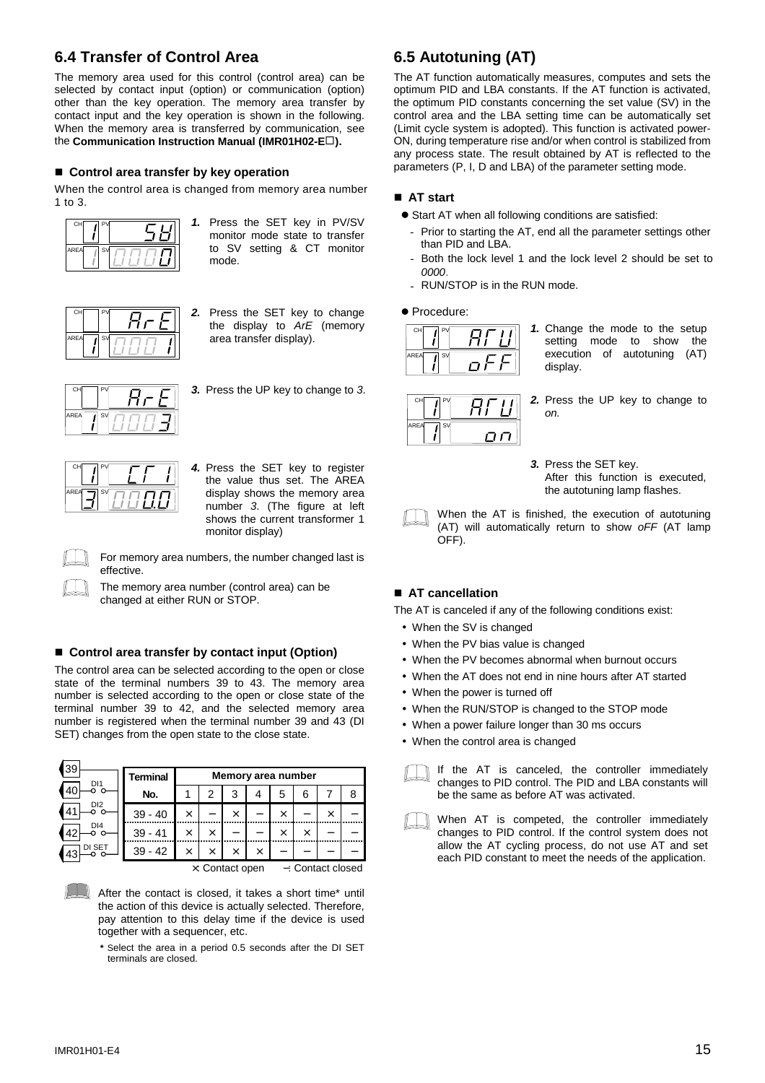## **6.4 Transfer of Control Area**

The memory area used for this control (control area) can be selected by contact input (option) or communication (option) other than the key operation. The memory area transfer by contact input and the key operation is shown in the following. When the memory area is transferred by communication, see the **Communication Instruction Manual (IMR01H02-E** $\Box$ ).

#### ■ Control area transfer by key operation

When the control area is changed from memory area number 1 to 3.



*1.* Press the SET key in PV/SV monitor mode state to transfer to SV setting & CT monitor mode.



*2.* Press the SET key to change the display to *ArE* (memory area transfer display).



*3.* Press the UP key to change to *3*.

CH PV AREA IT

*4.* Press the SET key to register the value thus set. The AREA display shows the memory area number *3*. (The figure at left shows the current transformer 1 monitor display)

For memory area numbers, the number changed last is effective.

The memory area number (control area) can be changed at either RUN or STOP.

#### ■ Control area transfer by contact input (Option)

The control area can be selected according to the open or close state of the terminal numbers 39 to 43. The memory area number is selected according to the open or close state of the terminal number 39 to 42, and the selected memory area number is registered when the terminal number 39 and 43 (DI SET) changes from the open state to the close state.

| 39<br>D <sub>1</sub> | <b>Terminal</b> | Memory area number |          |                  |          |          |                  |     |   |
|----------------------|-----------------|--------------------|----------|------------------|----------|----------|------------------|-----|---|
|                      | No.             |                    | 2        | 3                |          | 5        | 6                |     | 8 |
| DI <sub>2</sub>      | 39<br>- 40      | $\times$           |          | $\times$         |          | $\times$ |                  | ×   |   |
| DI4<br>$\Lambda$     | $39 - 41$       | $\times$           | ×        |                  |          | ×        | $\times$         |     |   |
| DI SET<br>≀?         | $39 - 42$       | $\times$           | $\times$ | $\times$         | $\times$ |          |                  |     |   |
|                      |                 |                    | $\sim$   | $\sim$<br>$\sim$ |          |          | $\sim$<br>$\sim$ | . . |   |

×: Contact open −: Contact closed

- After the contact is closed, it takes a short time\* until the action of this device is actually selected. Therefore, pay attention to this delay time if the device is used together with a sequencer, etc.
	- **\*** Select the area in a period 0.5 seconds after the DI SET terminals are closed.

## **6.5 Autotuning (AT)**

The AT function automatically measures, computes and sets the optimum PID and LBA constants. If the AT function is activated, the optimum PID constants concerning the set value (SV) in the control area and the LBA setting time can be automatically set (Limit cycle system is adopted). This function is activated power-ON, during temperature rise and/or when control is stabilized from any process state. The result obtained by AT is reflected to the parameters (P, I, D and LBA) of the parameter setting mode.

#### $\blacksquare$  **AT start**

- Start AT when all following conditions are satisfied:
	- Prior to starting the AT, end all the parameter settings other than PID and LBA.
	- Both the lock level 1 and the lock level 2 should be set to *0000*.
	- RUN/STOP is in the RUN mode.

 $\bullet$  Procedure:



*1.* Change the mode to the setup setting mode to show the execution of autotuning (AT) display.



- *2.* Press the UP key to change to *on.*
- *3.* Press the SET key. After this function is executed, the autotuning lamp flashes.
- When the AT is finished, the execution of autotuning (AT) will automatically return to show *oFF* (AT lamp OFF).

#### ■ AT cancellation

The AT is canceled if any of the following conditions exist:

- When the SV is changed
- When the PV bias value is changed
- When the PV becomes abnormal when burnout occurs
- When the AT does not end in nine hours after AT started
- When the power is turned off
- When the RUN/STOP is changed to the STOP mode
- When a power failure longer than 30 ms occurs
- When the control area is changed



If the AT is canceled, the controller immediately changes to PID control. The PID and LBA constants will be the same as before AT was activated.

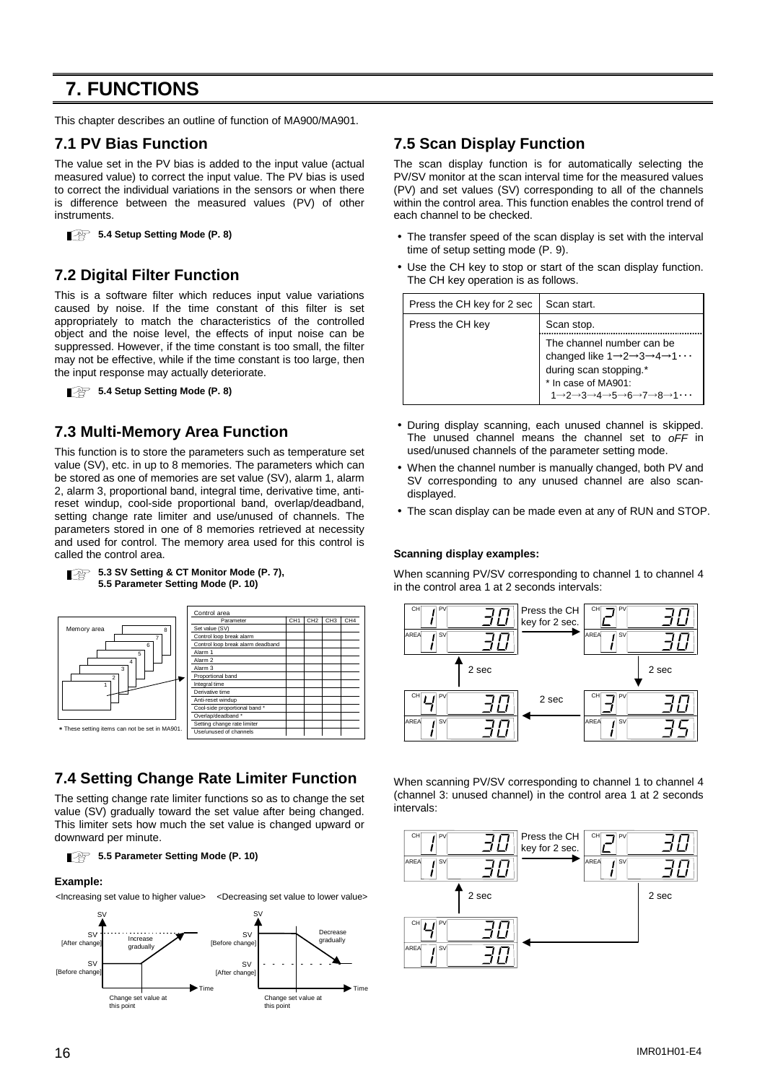# **7. FUNCTIONS**

This chapter describes an outline of function of MA900/MA901.

### **7.1 PV Bias Function**

The value set in the PV bias is added to the input value (actual measured value) to correct the input value. The PV bias is used to correct the individual variations in the sensors or when there is difference between the measured values (PV) of other instruments.

```
5.4 Setup Setting Mode (P. 8)
```
### **7.2 Digital Filter Function**

This is a software filter which reduces input value variations caused by noise. If the time constant of this filter is set appropriately to match the characteristics of the controlled object and the noise level, the effects of input noise can be suppressed. However, if the time constant is too small, the filter may not be effective, while if the time constant is too large, then the input response may actually deteriorate.

**5.4 Setup Setting Mode (P. 8)** 

### **7.3 Multi-Memory Area Function**

This function is to store the parameters such as temperature set value (SV), etc. in up to 8 memories. The parameters which can be stored as one of memories are set value (SV), alarm 1, alarm 2, alarm 3, proportional band, integral time, derivative time, antireset windup, cool-side proportional band, overlap/deadband, setting change rate limiter and use/unused of channels. The parameters stored in one of 8 memories retrieved at necessity and used for control. The memory area used for this control is called the control area.



 $\blacksquare$ 

| 5.3 SV Setting & CT Monitor Mode (P. 7), هَجَ |
|-----------------------------------------------|
| 5.5 Parameter Setting Mode (P. 10)            |

|     |                 | Control area                      |                 |                 |                 |                 |
|-----|-----------------|-----------------------------------|-----------------|-----------------|-----------------|-----------------|
|     |                 | Parameter                         | CH <sub>1</sub> | CH <sub>2</sub> | CH <sub>3</sub> | CH <sub>4</sub> |
|     |                 | Set value (SV)                    |                 |                 |                 |                 |
|     |                 | Control loop break alarm          |                 |                 |                 |                 |
|     |                 | Control loop break alarm deadband |                 |                 |                 |                 |
|     |                 | Alarm 1                           |                 |                 |                 |                 |
|     |                 | Alarm <sub>2</sub>                |                 |                 |                 |                 |
|     |                 | Alarm <sub>3</sub>                |                 |                 |                 |                 |
|     |                 | Proportional band                 |                 |                 |                 |                 |
|     |                 | Integral time                     |                 |                 |                 |                 |
|     | Derivative time |                                   |                 |                 |                 |                 |
|     |                 | Anti-reset windup                 |                 |                 |                 |                 |
|     |                 | Cool-side proportional band *     |                 |                 |                 |                 |
|     |                 | Overlap/deadband *                |                 |                 |                 |                 |
|     |                 | Setting change rate limiter       |                 |                 |                 |                 |
| 901 |                 | Hee/unused of channels            |                 |                 |                 |                 |

## **7.4 Setting Change Rate Limiter Function**

The setting change rate limiter functions so as to change the set value (SV) gradually toward the set value after being changed. This limiter sets how much the set value is changed upward or downward per minute.

**5.5 Parameter Setting Mode (P. 10)** 

#### **Example:**



### **7.5 Scan Display Function**

The scan display function is for automatically selecting the PV/SV monitor at the scan interval time for the measured values (PV) and set values (SV) corresponding to all of the channels within the control area. This function enables the control trend of each channel to be checked.

- The transfer speed of the scan display is set with the interval time of setup setting mode (P. 9).
- Use the CH key to stop or start of the scan display function. The CH key operation is as follows.

| Press the CH key for 2 sec | Scan start.                                                                                                                                                                                                                                                                                 |
|----------------------------|---------------------------------------------------------------------------------------------------------------------------------------------------------------------------------------------------------------------------------------------------------------------------------------------|
| Press the CH key           | Scan stop.                                                                                                                                                                                                                                                                                  |
|                            | The channel number can be<br>changed like $1 \rightarrow 2 \rightarrow 3 \rightarrow 4 \rightarrow 1 \cdots$<br>during scan stopping.*<br>* In case of MA901:<br>$1 \rightarrow 2 \rightarrow 3 \rightarrow 4 \rightarrow 5 \rightarrow 6 \rightarrow 7 \rightarrow 8 \rightarrow 1 \cdots$ |

- During display scanning, each unused channel is skipped. The unused channel means the channel set to *oFF* in used/unused channels of the parameter setting mode.
- When the channel number is manually changed, both PV and SV corresponding to any unused channel are also scandisplayed.
- The scan display can be made even at any of RUN and STOP.

#### **Scanning display examples:**

When scanning PV/SV corresponding to channel 1 to channel 4 in the control area 1 at 2 seconds intervals:



When scanning PV/SV corresponding to channel 1 to channel 4 (channel 3: unused channel) in the control area 1 at 2 seconds intervals:

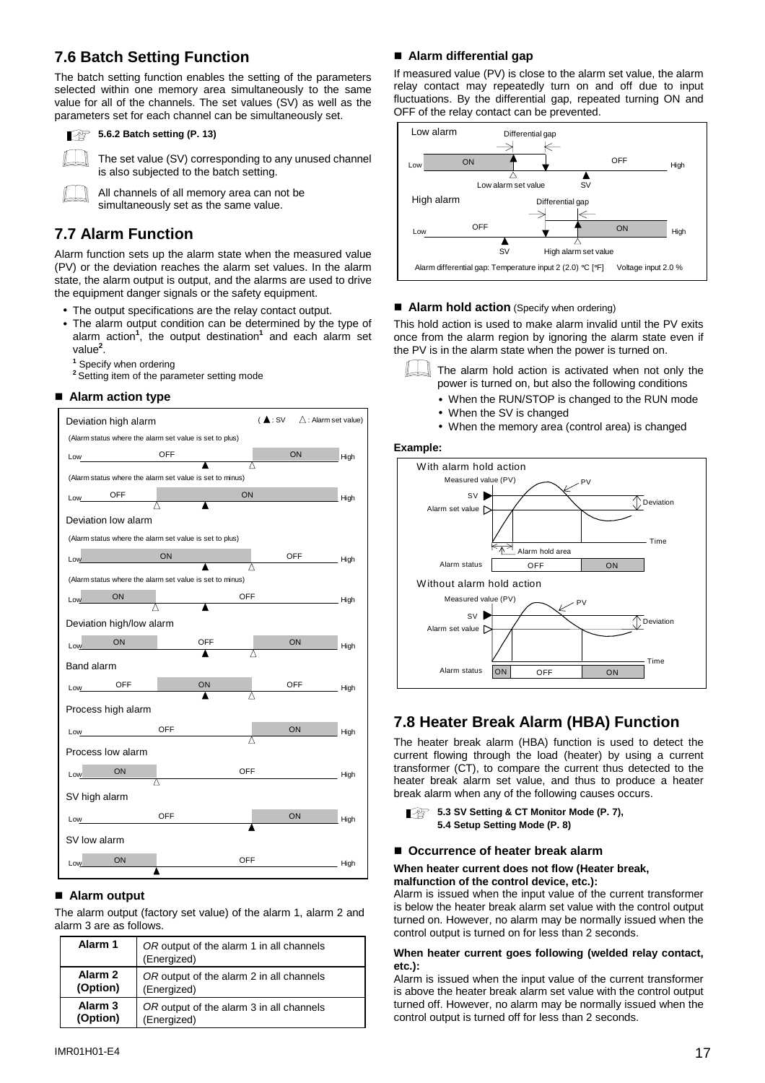## **7.6 Batch Setting Function**

The batch setting function enables the setting of the parameters selected within one memory area simultaneously to the same value for all of the channels. The set values (SV) as well as the parameters set for each channel can be simultaneously set.



#### **5.6.2 Batch setting (P. 13)**

The set value (SV) corresponding to any unused channel is also subjected to the batch setting.

All channels of all memory area can not be simultaneously set as the same value.

## **7.7 Alarm Function**

Alarm function sets up the alarm state when the measured value (PV) or the deviation reaches the alarm set values. In the alarm state, the alarm output is output, and the alarms are used to drive the equipment danger signals or the safety equipment.

- The output specifications are the relay contact output.
- The alarm output condition can be determined by the type of alarm action**<sup>1</sup>** , the output destination**<sup>1</sup>** and each alarm set value**<sup>2</sup>** .
	- **1** Specify when ordering
	- <sup>2</sup> Setting item of the parameter setting mode

#### $\blacksquare$  **Alarm action type**



#### ■ Alarm output

The alarm output (factory set value) of the alarm 1, alarm 2 and alarm 3 are as follows.

| Alarm 1  | OR output of the alarm 1 in all channels<br>(Energized) |  |
|----------|---------------------------------------------------------|--|
| Alarm 2  | OR output of the alarm 2 in all channels                |  |
| (Option) | (Energized)                                             |  |
| Alarm 3  | OR output of the alarm 3 in all channels                |  |
| (Option) | (Energized)                                             |  |

#### ■ Alarm differential gap

If measured value (PV) is close to the alarm set value, the alarm relay contact may repeatedly turn on and off due to input fluctuations. By the differential gap, repeated turning ON and OFF of the relay contact can be prevented.



#### ■ **Alarm hold action** (Specify when ordering)

This hold action is used to make alarm invalid until the PV exits once from the alarm region by ignoring the alarm state even if the PV is in the alarm state when the power is turned on.



The alarm hold action is activated when not only the power is turned on, but also the following conditions

- When the RUN/STOP is changed to the RUN mode
- When the SV is changed
- When the memory area (control area) is changed

#### **Example:**



### **7.8 Heater Break Alarm (HBA) Function**

The heater break alarm (HBA) function is used to detect the current flowing through the load (heater) by using a current transformer (CT), to compare the current thus detected to the heater break alarm set value, and thus to produce a heater break alarm when any of the following causes occurs.

**5.3 SV Setting & CT Monitor Mode (P. 7), 5.4 Setup Setting Mode (P. 8)**

#### ■ Occurrence of heater break alarm

#### **When heater current does not flow (Heater break, malfunction of the control device, etc.):**

Alarm is issued when the input value of the current transformer is below the heater break alarm set value with the control output turned on. However, no alarm may be normally issued when the control output is turned on for less than 2 seconds.

#### **When heater current goes following (welded relay contact, etc.):**

Alarm is issued when the input value of the current transformer is above the heater break alarm set value with the control output turned off. However, no alarm may be normally issued when the control output is turned off for less than 2 seconds.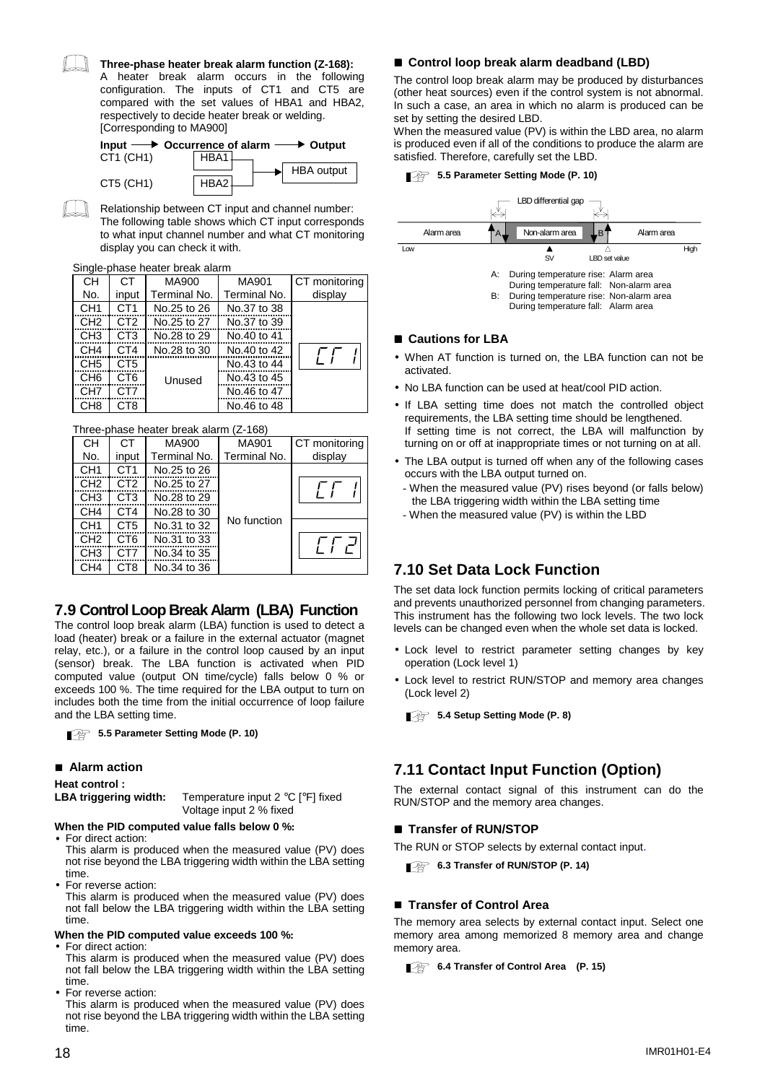#### **Three-phase heater break alarm function (Z-168):**

A heater break alarm occurs in the following configuration. The inputs of CT1 and CT5 are compared with the set values of HBA1 and HBA2, respectively to decide heater break or welding. [Corresponding to MA900]

|           | Input $\longrightarrow$ Occurrence of alarm $\longrightarrow$ Output |  |
|-----------|----------------------------------------------------------------------|--|
| CT1 (CH1) | HBA1                                                                 |  |
|           | <b>HBA</b> output                                                    |  |
| CT5 (CH1) | HRA2                                                                 |  |

Relationship between CT input and channel number: The following table shows which CT input corresponds to what input channel number and what CT monitoring display you can check it with.

#### Single-phase heater break alarm

| . יש            |                 |              |              |               |
|-----------------|-----------------|--------------|--------------|---------------|
| <b>CH</b>       | СT              | MA900        | MA901        | CT monitoring |
| No.             | input           | Terminal No. | Terminal No. | display       |
| CH <sub>1</sub> | CT <sub>1</sub> | No.25 to 26  | No.37 to 38  |               |
| CH <sub>2</sub> | CT <sub>2</sub> | No.25 to 27  | No.37 to 39  |               |
| CH <sub>3</sub> | CT <sub>3</sub> | No.28 to 29  | No.40 to 41  |               |
| CH <sub>4</sub> | CT4             | No.28 to 30  | No.40 to 42  |               |
| CH <sub>5</sub> | CT <sub>5</sub> |              | No.43 to 44  |               |
| CH <sub>6</sub> | CT <sub>6</sub> | Unused       | No.43 to 45  |               |
| CH <sub>7</sub> | CT7             |              | No.46 to 47  |               |
| CH <sub>8</sub> | CT8             |              | No.46 to 48  |               |

#### Three-phase heater break alarm (Z-168)

| CН              | СT              | <b>MA900</b> | MA901        | CT monitoring |
|-----------------|-----------------|--------------|--------------|---------------|
| No.             | input           | Terminal No. | Terminal No. | display       |
| CH <sub>1</sub> | CT <sub>1</sub> | No.25 to 26  |              |               |
| CH <sub>2</sub> | CT <sub>2</sub> | No.25 to 27  |              |               |
| CH <sub>3</sub> | CT <sub>3</sub> | No.28 to 29  |              |               |
| CH <sub>4</sub> | CT <sub>4</sub> | No.28 to 30  |              |               |
| CH <sub>1</sub> | CT <sub>5</sub> | No.31 to 32  | No function  |               |
| CH <sub>2</sub> | C <sub>T6</sub> | No.31 to 33  |              |               |
| CH <sub>3</sub> | CT7             | No.34 to 35  |              |               |
| CH <sub>4</sub> | CT8             | No.34 to 36  |              |               |

### **7.9 Control Loop Break Alarm (LBA) Function**

The control loop break alarm (LBA) function is used to detect a load (heater) break or a failure in the external actuator (magnet relay, etc.), or a failure in the control loop caused by an input (sensor) break. The LBA function is activated when PID computed value (output ON time/cycle) falls below 0 % or exceeds 100 %. The time required for the LBA output to turn on includes both the time from the initial occurrence of loop failure and the LBA setting time.

**5.5 Parameter Setting Mode (P. 10)** 

#### ■ Alarm action

#### **Heat control :**

**LBA triggering width:** Temperature input 2 °C [°F] fixed Voltage input 2 % fixed

#### **When the PID computed value falls below 0 %:**

- For direct action: This alarm is produced when the measured value (PV) does not rise beyond the LBA triggering width within the LBA setting time.
- For reverse action: This alarm is produced when the measured value (PV) does not fall below the LBA triggering width within the LBA setting time.

#### **When the PID computed value exceeds 100 %:**

- For direct action:
- This alarm is produced when the measured value (PV) does not fall below the LBA triggering width within the LBA setting time.
- For reverse action: This alarm is produced when the measured value (PV) does not rise beyond the LBA triggering width within the LBA setting time.

#### ■ Control loop break alarm deadband (LBD)

The control loop break alarm may be produced by disturbances (other heat sources) even if the control system is not abnormal. In such a case, an area in which no alarm is produced can be set by setting the desired LBD.

When the measured value (PV) is within the LBD area, no alarm is produced even if all of the conditions to produce the alarm are satisfied. Therefore, carefully set the LBD.

#### **5.5 Parameter Setting Mode (P. 10)**



#### ■ Cautions for LBA

- When AT function is turned on, the LBA function can not be activated.
- No LBA function can be used at heat/cool PID action.
- If LBA setting time does not match the controlled object requirements, the LBA setting time should be lengthened. If setting time is not correct, the LBA will malfunction by turning on or off at inappropriate times or not turning on at all.
- The LBA output is turned off when any of the following cases occurs with the LBA output turned on.
- When the measured value (PV) rises beyond (or falls below) the LBA triggering width within the LBA setting time
- When the measured value (PV) is within the LBD

### **7.10 Set Data Lock Function**

The set data lock function permits locking of critical parameters and prevents unauthorized personnel from changing parameters. This instrument has the following two lock levels. The two lock levels can be changed even when the whole set data is locked.

- Lock level to restrict parameter setting changes by key operation (Lock level 1)
- Lock level to restrict RUN/STOP and memory area changes (Lock level 2)

**5.4 Setup Setting Mode (P. 8)** 

### **7.11 Contact Input Function (Option)**

The external contact signal of this instrument can do the RUN/STOP and the memory area changes.

#### $\blacksquare$  **Transfer of RUN/STOP**

The RUN or STOP selects by external contact input.

**6.3 Transfer of RUN/STOP (P. 14)** 

#### ■ Transfer of Control Area

The memory area selects by external contact input. Select one memory area among memorized 8 memory area and change memory area.

**6.4 Transfer of Control Area** (P. 15)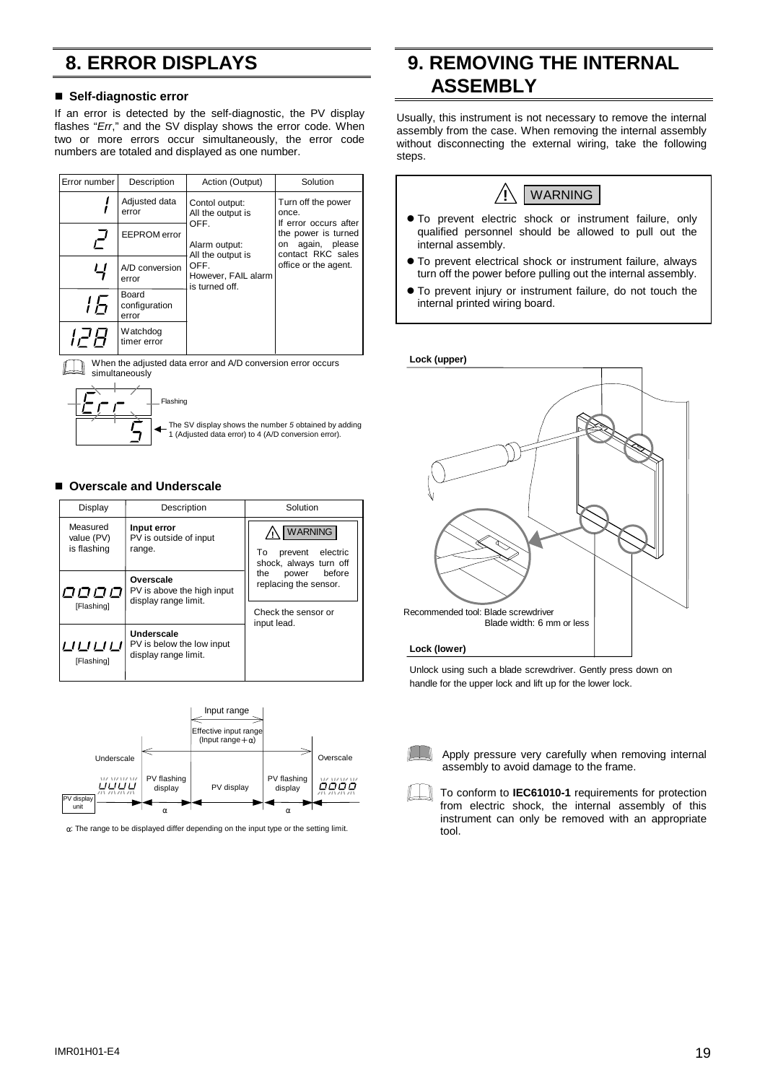# **8. ERROR DISPLAYS**

#### $\blacksquare$  **Self-diagnostic error**

If an error is detected by the self-diagnostic, the PV display flashes "*Err*," and the SV display shows the error code. When two or more errors occur simultaneously, the error code numbers are totaled and displayed as one number.

| Error number | Description                     | Action (Output)                                                                                                                                   | Solution             |                                                           |  |                                             |
|--------------|---------------------------------|---------------------------------------------------------------------------------------------------------------------------------------------------|----------------------|-----------------------------------------------------------|--|---------------------------------------------|
|              | Adjusted data<br>error          | Contol output:<br>All the output is<br>once.<br>OFF.<br>Alarm output:<br>on<br>All the output is<br>OFF.<br>However, FAIL alarm<br>is turned off. |                      |                                                           |  | Turn off the power<br>If error occurs after |
| ┙<br>r       | <b>EEPROM</b> error             |                                                                                                                                                   |                      | the power is turned<br>again, please<br>contact RKC sales |  |                                             |
| பு           | A/D conversion<br>error         |                                                                                                                                                   | office or the agent. |                                                           |  |                                             |
| l Fi         | Board<br>configuration<br>error |                                                                                                                                                   |                      |                                                           |  |                                             |
|              | Watchdog<br>timer error         |                                                                                                                                                   |                      |                                                           |  |                                             |

When the adjusted data error and A/D conversion error occurs 1 I T simultaneously



The SV display shows the number *5* obtained by adding 1 (Adjusted data error) to 4 (A/D conversion error).

#### ■ Overscale and Underscale

| Display                               | Description                                                     | Solution                                                                              |
|---------------------------------------|-----------------------------------------------------------------|---------------------------------------------------------------------------------------|
| Measured<br>value (PV)<br>is flashing | Input error<br>PV is outside of input<br>range.                 | <b>WARNING</b><br>electric<br>To<br>prevent<br>shock, always turn off                 |
| פססם<br>[Flashing]                    | Overscale<br>PV is above the high input<br>display range limit. | before<br>the<br>power<br>replacing the sensor.<br>Check the sensor or<br>input lead. |
| பபபப<br>[Flashing]                    | Underscale<br>PV is below the low input<br>display range limit. |                                                                                       |



α: The range to be displayed differ depending on the input type or the setting limit.

## **9. REMOVING THE INTERNAL ASSEMBLY**

Usually, this instrument is not necessary to remove the internal assembly from the case. When removing the internal assembly without disconnecting the external wiring, take the following steps.



- $\bullet$  To prevent electric shock or instrument failure, only qualified personnel should be allowed to pull out the internal assembly.
- $\bullet$  To prevent electrical shock or instrument failure, always turn off the power before pulling out the internal assembly.
- To prevent injury or instrument failure, do not touch the internal printed wiring board.

**Lock (upper)**



Unlock using such a blade screwdriver. Gently press down on handle for the upper lock and lift up for the lower lock.



Apply pressure very carefully when removing internal assembly to avoid damage to the frame.

To conform to **IEC61010-1** requirements for protection from electric shock, the internal assembly of this instrument can only be removed with an appropriate tool.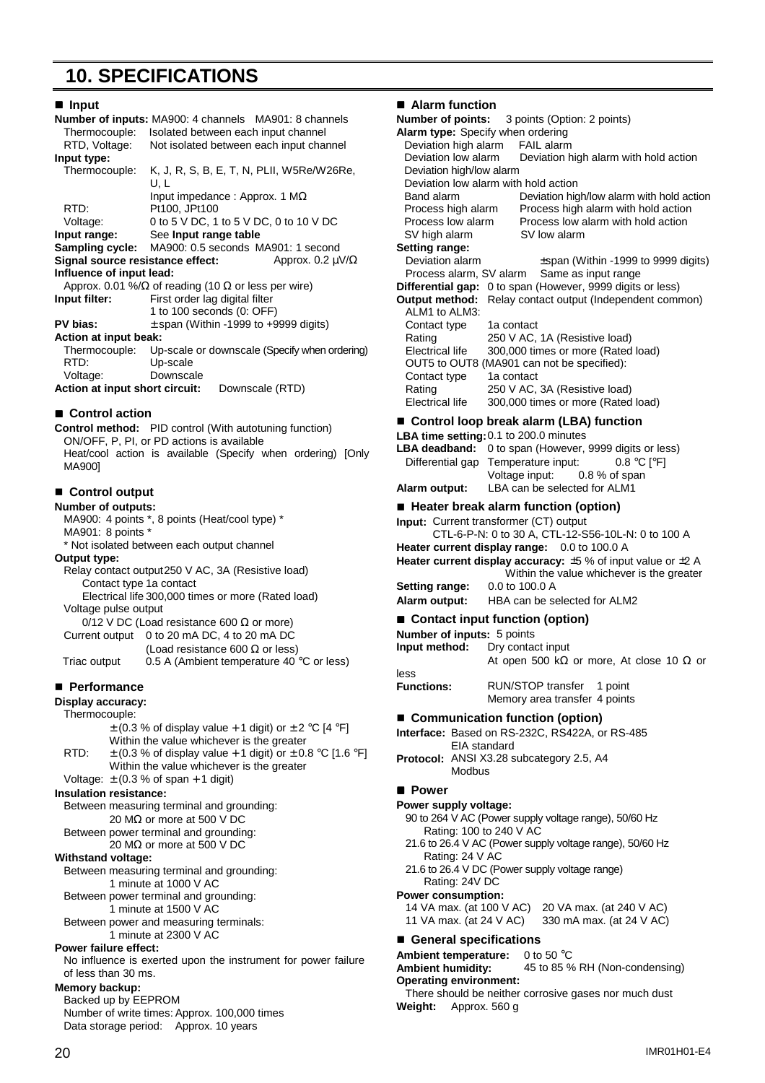## **10. SPECIFICATIONS**

| ∎ Input                                                      |                                                                    |  |  |  |  |  |
|--------------------------------------------------------------|--------------------------------------------------------------------|--|--|--|--|--|
| <b>Number of inputs: MA900: 4 channels MA901: 8 channels</b> |                                                                    |  |  |  |  |  |
| Thermocouple:<br>Isolated between each input channel         |                                                                    |  |  |  |  |  |
| RTD, Voltage:<br>Not isolated between each input channel     |                                                                    |  |  |  |  |  |
| Input type:                                                  |                                                                    |  |  |  |  |  |
| Thermocouple:                                                | K, J, R, S, B, E, T, N, PLII, W5Re/W26Re,<br>U. L                  |  |  |  |  |  |
|                                                              | Input impedance : Approx. 1 $M\Omega$                              |  |  |  |  |  |
| RTD:                                                         | Pt100, JPt100                                                      |  |  |  |  |  |
| Voltage:                                                     | 0 to 5 V DC, 1 to 5 V DC, 0 to 10 V DC                             |  |  |  |  |  |
|                                                              | Input range: See Input range table                                 |  |  |  |  |  |
|                                                              | Sampling cycle: MA900: 0.5 seconds MA901: 1 second                 |  |  |  |  |  |
|                                                              | Signal source resistance effect:<br>Approx. 0.2 $\mu$ V/ $\Omega$  |  |  |  |  |  |
| Influence of input lead:                                     |                                                                    |  |  |  |  |  |
|                                                              | Approx. 0.01 %/ $\Omega$ of reading (10 $\Omega$ or less per wire) |  |  |  |  |  |
| Input filter:                                                | First order lag digital filter                                     |  |  |  |  |  |
|                                                              | 1 to 100 seconds (0: OFF)                                          |  |  |  |  |  |
| PV bias:                                                     | $\pm$ span (Within -1999 to +9999 digits)                          |  |  |  |  |  |
| Action at input beak:                                        |                                                                    |  |  |  |  |  |
|                                                              | Thermocouple: Up-scale or downscale (Specify when ordering)        |  |  |  |  |  |
| RTD:                                                         | Up-scale                                                           |  |  |  |  |  |
| Voltage:                                                     | Downscale                                                          |  |  |  |  |  |
| Action at input short circuit:<br>Downscale (RTD)            |                                                                    |  |  |  |  |  |
| Control action                                               |                                                                    |  |  |  |  |  |

#### ■ Control action

**Control method:** PID control (With autotuning function) ON/OFF, P, PI, or PD actions is available Heat/cool action is available (Specify when ordering) [Only MA900]

#### ■ Control output

**Number of outputs:** MA900: 4 points \*, 8 points (Heat/cool type) \* MA901: 8 points \* \* Not isolated between each output channel **Output type:** Relay contact output250 V AC, 3A (Resistive load)

Contact type 1a contact Electrical life 300,000 times or more (Rated load) Voltage pulse output 0/12 V DC (Load resistance 600  $Ω$  or more)

Current output 0 to 20 mA DC, 4 to 20 mA DC (Load resistance 600 Ω or less) Triac output  $0.5$  A (Ambient temperature 40  $\degree$ C or less)

#### !"**Performance**

#### **Display accuracy:**

| opnay aooana              |                                                                   |
|---------------------------|-------------------------------------------------------------------|
| Thermocouple:             |                                                                   |
|                           | $\pm$ (0.3 % of display value + 1 digit) or $\pm$ 2 °C [4 °F]     |
|                           | Within the value whichever is the greater                         |
| RTD:                      | $\pm$ (0.3 % of display value + 1 digit) or $\pm$ 0.8 °C [1.6 °F] |
|                           | Within the value whichever is the greater                         |
|                           | Voltage: $\pm$ (0.3 % of span + 1 digit)                          |
|                           | <b>Insulation resistance:</b>                                     |
|                           | Between measuring terminal and grounding:                         |
|                           | 20 M $\Omega$ or more at 500 V DC                                 |
|                           | Between power terminal and grounding:                             |
|                           | 20 M $\Omega$ or more at 500 V DC                                 |
| <b>Withstand voltage:</b> |                                                                   |
|                           | Between measuring terminal and grounding:                         |
|                           | 1 minute at 1000 V AC                                             |
|                           | Between power terminal and grounding:                             |
|                           | 1 minute at 1500 V AC                                             |
|                           | Between power and measuring terminals:                            |
|                           | 1 minute at 2300 V AC                                             |
|                           | <b>Power failure effect:</b>                                      |
|                           | No influence is exerted upon the instrument for power failure     |
|                           | of less than 30 ms.                                               |
| Memory backup:            |                                                                   |
|                           | Backed up by EEPROM                                               |
|                           | Number of write times: Approx. 100,000 times                      |

Data storage period: Approx. 10 years

#### $\blacksquare$  **Alarm function**

**Number of points:** 3 points (Option: 2 points) **Alarm type:** Specify when ordering Deviation high alarm FAIL alarm Deviation low alarm Deviation high alarm with hold action Deviation high/low alarm Deviation low alarm with hold action Band alarm Deviation high/low alarm with hold action Process high alarm Process high alarm with hold action Process low alarm Process low alarm with hold action<br>SV low alarm SV low alarm SV high alarm **Setting range:** Deviation alarm **the Expan (Within -1999 to 9999 digits)**<br>Process alarm, SV alarm Same as input range Process alarm, SV alarm **Differential gap:** 0 to span (However, 9999 digits or less) **Output method:** Relay contact output (Independent common) ALM1 to ALM3: Contact type 1a contact Rating 250 V AC, 1A (Resistive load) Electrical life 300,000 times or more (Rated load) OUT5 to OUT8 (MA901 can not be specified):<br>Contact type 1a contact Contact type Rating 250 V AC, 3A (Resistive load) Electrical life 300,000 times or more (Rated load) ■ Control loop break alarm (LBA) function **LBA time setting:**0.1 to 200.0 minutes **LBA deadband:** 0 to span (However, 9999 digits or less) Differential gap Temperature input: 0.8 °C [°F] Voltage input: 0.8 % of span **Alarm output:** LBA can be selected for ALM1 ■ Heater break alarm function (option) **Input:** Current transformer (CT) output CTL-6-P-N: 0 to 30 A, CTL-12-S56-10L-N: 0 to 100 A **Heater current display range:** 0.0 to 100.0 A **Heater current display accuracy:** ±5 % of input value or ±2 A Within the value whichever is the greater **Setting range:** 0.0 to 100.0 A **Alarm output:** HBA can be selected for ALM2 ■ Contact input function (option) **Number of inputs:** 5 points<br>**Input method:** Dry conta **Dry contact input** At open 500 kΩ or more, At close 10  $\Omega$  or loss **Functions:** RUN/STOP transfer 1 point Memory area transfer 4 points ■ Communication function (option) **Interface:** Based on RS-232C, RS422A, or RS-485 EIA standard **Protocol:** ANSI X3.28 subcategory 2.5, A4 **Modbus**  $\blacksquare$  Power **Power supply voltage:** 90 to 264 V AC (Power supply voltage range), 50/60 Hz Rating: 100 to 240 V AC 21.6 to 26.4 V AC (Power supply voltage range), 50/60 Hz Rating: 24 V AC 21.6 to 26.4 V DC (Power supply voltage range) Rating: 24V DC **Power consumption:** 14 VA max. (at 100 V AC) 20 VA max. (at 240 V AC) 330 mA max. (at 24 V AC) ■ General specifications **Ambient temperature:** 0 to 50 °C **Ambient humidity:** 45 to 85 % RH (Non-condensing) **Operating environment:** There should be neither corrosive gases nor much dust **Weight:** Approx. 560 g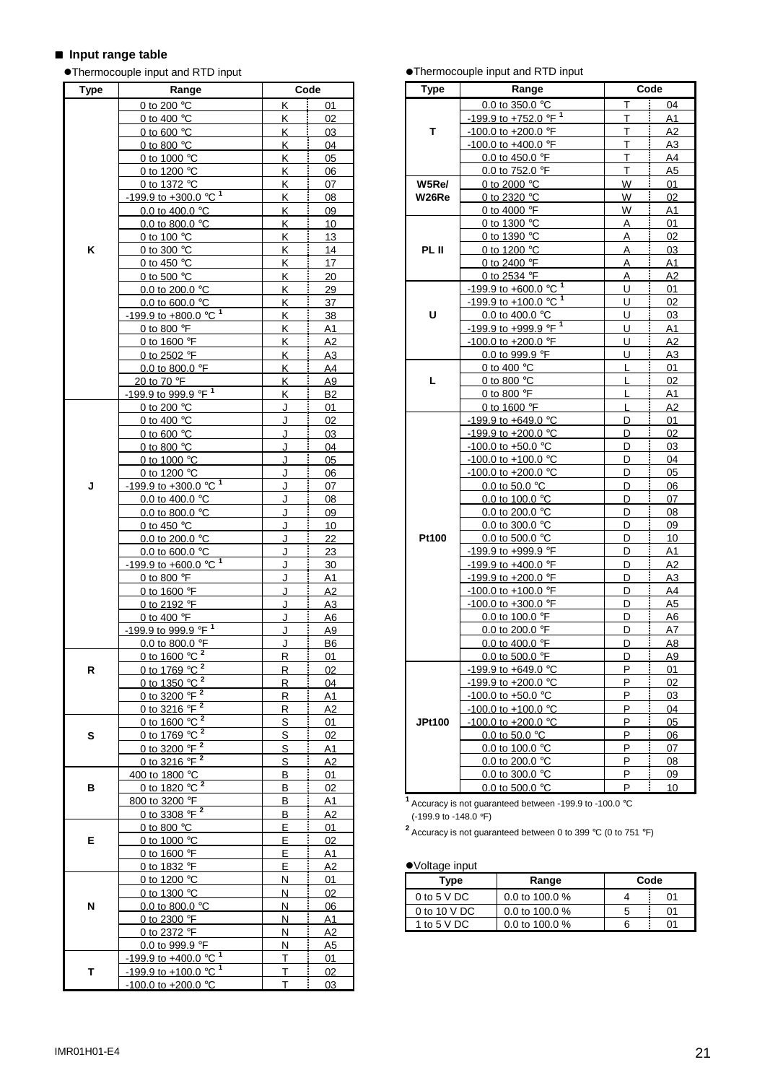## $\blacksquare$  Input range table

#Thermocouple input and RTD input

| Type | Range                                          |           | Code                        |
|------|------------------------------------------------|-----------|-----------------------------|
|      | 0 to 200 °C                                    | Κ         | Ī<br>01                     |
|      | 0 to 400 $\degree$ C                           | İ<br>K.   | 02                          |
|      | 0 to 600 $\degree$ C                           | K.        | 03                          |
|      | 0 to 800 $\degree$ C                           | K         | 04                          |
|      | 0 to 1000 °C                                   | Κ         | 05                          |
|      | 0 to 1200 $\degree$ C                          | Κ         | 06                          |
|      | 0 to 1372 °C                                   | Κ.        | 07                          |
|      | $-199.9$ to $+300.0$ °C <sup>1</sup>           | K         | 08                          |
|      | 0.0 to 400.0 $^{\circ}$ C                      | K         | ļ<br>09                     |
|      | 0.0 to 800.0 $^{\circ}$ C                      | K         | 10                          |
|      | 0 to 100 $\degree$ C                           | K         | 13                          |
| Κ    | 0 to 300 °C                                    | Κ.        | 14                          |
|      | 0 to 450 $^{\circ}$ C                          | ĸ         | 17                          |
|      | 0 to 500 $\degree$ C                           | Κ         | 20                          |
|      | 0.0 to 200.0 °C                                | K         | 29                          |
|      | 0.0 to 600.0 $^{\circ}$ C                      | <u>K</u>  | 37                          |
|      | $-199.9$ to $+800.0$ °C <sup>1</sup>           | Κ.        | 38                          |
|      | 0 to 800 °F                                    | K         | A <sub>1</sub>              |
|      | 0 to 1600 $\degree$ F                          | K         | İ<br>A2                     |
|      | 0 to 2502 °F                                   | <u>K</u>  | <u>A3</u>                   |
|      | 0.0 to 800.0 °F                                | Κ         | A <sub>4</sub>              |
|      | 20 to 70 °F                                    | Κ.        | j<br>A <sub>9</sub>         |
|      | -199.9 to 999.9 °F <sup>1</sup>                | Κ         | B2                          |
|      | 0 to 200 °C                                    | J         | 01                          |
|      | 0 to 400 $\degree$ C                           | J         | 02                          |
|      | 0 to 600 $\degree$ C                           | J         | 03                          |
|      |                                                | J         | 04                          |
|      | 0 to 800 $\degree$ C                           | J         | 05                          |
|      | 0 to 1000 °C<br>0 to 1200 $\degree$ C          | J         |                             |
|      | $-199.9$ to $+300.0$ °C <sup>1</sup>           |           | 06                          |
| J    |                                                | J<br>J    | 07                          |
|      | 0.0 to 400.0 $^{\circ}$ C                      |           | 08                          |
|      | 0.0 to 800.0 °C                                | J         | 09                          |
|      | 0 to 450 $\degree$ C                           | J         | 10                          |
|      | 0.0 to 200.0 °C                                | J         | 22                          |
|      | 0.0 to 600.0 °C                                | J         | 23                          |
|      | $-199.9$ to $+600.0$ °C <sup>1</sup>           | J         | 30                          |
|      | 0 to 800 °F                                    | J         | <u>A1</u>                   |
|      | 0 to 1600 °F                                   | J         | A <sub>2</sub>              |
|      | 0 to 2192 °F                                   | J         | A3                          |
|      | 0 to 400 °F<br>-199.9 to 999.9 °F <sup>1</sup> | J<br>J    | <u>A6</u><br>A <sub>9</sub> |
|      |                                                |           |                             |
|      | 0.0 to 800.0 °F                                | J         | <b>B6</b>                   |
|      | 0 to 1600 $^{\circ}$ C $^2$                    | <u>R </u> | 01                          |
| R    | 0 to 1769 °C <sup>2</sup><br>2                 | R         | 02                          |
|      | 0 to 1350 °C                                   | R         | i<br>04                     |
|      | 0 to 3200 $\sqrt{P}$ <sup>2</sup>              | R         | A1                          |
|      | 0 to 3216 °F <sup>2</sup>                      | R         | A2                          |
|      | 0 to 1600 $^{\circ}$ C <sup>2</sup>            | S         | 01                          |
| S    | 0 to 1769 °C 2                                 | S         | 02                          |
|      | 0 to 3200 °F 2                                 | S         | Α1                          |
|      | 0 to 3216 °F <sup>2</sup>                      | S         | A2                          |
|      | 400 to 1800 °C                                 | B         | i<br>01                     |
| в    | 0 to 1820 $^{\circ}$ C $^2$                    | В         | 02                          |
|      | 800 to 3200 °F                                 | В         | A1                          |
|      | 0 to 3308 $^{\circ}$ F $^2$                    | в         | A2                          |
|      | 0 to 800 $\degree$ C                           | E         | 01                          |
| E    | 0 to 1000 °C                                   | E         | 02                          |
|      | 0 to 1600 °F                                   | E         | A <sub>1</sub>              |
|      | 0 to 1832 °F                                   | E.        | i<br>А2                     |
|      | 0 to 1200 °C                                   | N         | 01                          |
|      | 0 to 1300 °C                                   | И         | 02                          |
| N    | 0.0 to 800.0 $^{\circ}$ C                      | N         | 06                          |
|      | 0 to 2300 °F                                   | Ν         | <u>A1</u>                   |
|      | 0 to 2372 °F                                   | N         | A2                          |
|      | 0.0 to 999.9 °F                                | N         | A <sub>5</sub>              |
|      | -199.9 to +400.0 °C                            | Τ         | 01                          |
| т    | -199.9 to +100.0 °C <sup>1</sup>               | т         | 02                          |
|      | -100.0 to +200.0 $^{\circ}$ C                  | T         | 03                          |

**•Thermocouple input and RTD input** 

| <b>Type</b> | Range                                            | Code                   |                |  |  |  |  |  |  |
|-------------|--------------------------------------------------|------------------------|----------------|--|--|--|--|--|--|
|             | $0.0$ to 350.0 °C                                | Т                      | 04             |  |  |  |  |  |  |
|             | $-199.9$ to $+752.0$ <sup>o</sup> F <sup>1</sup> | Ĩ.<br>т                | A1             |  |  |  |  |  |  |
| т           | -100.0 to +200.0 $\degree$ F                     | Т                      | A2             |  |  |  |  |  |  |
|             | -100.0 to +400.0 °F                              | T                      | A3             |  |  |  |  |  |  |
|             | 0.0 to 450.0 °F                                  | i<br>Т                 | A4             |  |  |  |  |  |  |
|             | 0.0 to 752.0 °F                                  | Τ                      | A5             |  |  |  |  |  |  |
| W5Re/       |                                                  | 0 to 2000 °C<br>W<br>W |                |  |  |  |  |  |  |
| W26Re       | 0 to 2320 $\degree$ C                            |                        | 01<br>02       |  |  |  |  |  |  |
|             | 0 to 4000 $\degree$ F                            | į<br>W                 | A1             |  |  |  |  |  |  |
|             | 0 to 1300 °C                                     | A                      | 01             |  |  |  |  |  |  |
|             | 0 to 1390 °C                                     | i<br>A                 | 02             |  |  |  |  |  |  |
| PL II       | 0 to 1200 °C                                     | A                      | 03             |  |  |  |  |  |  |
|             | 0 to 2400 °F                                     | A                      | A1             |  |  |  |  |  |  |
|             | 0 to 2534 °F                                     | A                      | A2             |  |  |  |  |  |  |
|             | $-199.9$ to $+600.0$ °C <sup>1</sup>             | I<br>U                 | 01             |  |  |  |  |  |  |
|             | $-199.9$ to $+100.0$ °C <sup>1</sup>             | Î<br>U                 | 02             |  |  |  |  |  |  |
| U           | 0.0 to 400.0 $\degree$ C                         | U                      | 03             |  |  |  |  |  |  |
|             | $-199.9$ to $+999.9$ <sup>o</sup> F <sup>1</sup> | Ī<br>U                 | A <sub>1</sub> |  |  |  |  |  |  |
|             | -100.0 to +200.0 $\degree$ F                     | U                      | A <sub>2</sub> |  |  |  |  |  |  |
|             | 0.0 to 999.9 °F                                  | U                      | A <sub>3</sub> |  |  |  |  |  |  |
|             | 0 to 400 $\degree$ C                             | Ī<br>L                 | 01             |  |  |  |  |  |  |
| г           | 0 to 800 $^{\circ}$ C                            | Ĩ<br>L                 | 02             |  |  |  |  |  |  |
|             | 0 to 800 °F                                      | ı                      | A1             |  |  |  |  |  |  |
|             | 0 to 1600 °F                                     | L                      | A2             |  |  |  |  |  |  |
|             | -199.9 to +649.0 °C                              | Ī<br>D                 | 01             |  |  |  |  |  |  |
|             | $-199.9$ to $+200.0$ °C                          | į<br>D                 | 02             |  |  |  |  |  |  |
|             | -100.0 to +50.0 $^{\circ}$ C                     | D                      | 03             |  |  |  |  |  |  |
|             | $-100.0$ to $+100.0$ °C                          | İ<br>D                 | 04             |  |  |  |  |  |  |
|             | $-100.0$ to $+200.0$ °C                          | į<br>D                 | 05             |  |  |  |  |  |  |
|             | 0.0 to 50.0 $^{\circ}$ C                         | D                      | 06             |  |  |  |  |  |  |
|             | 0.0 to 100.0 °C                                  | Ī<br>D                 | 07             |  |  |  |  |  |  |
|             | 0.0 to 200.0 °C                                  | I<br>D                 | 08             |  |  |  |  |  |  |
|             | 0.0 to 300.0 °C                                  | D                      | 09             |  |  |  |  |  |  |
| Pt100       | 0.0 to 500.0 $^{\circ}$ C                        | D                      | 10             |  |  |  |  |  |  |
|             | -199.9 to +999.9 °F                              | D                      | A1             |  |  |  |  |  |  |
|             | $-199.9$ to $+400.0$ °F                          | D                      | A2             |  |  |  |  |  |  |
|             | $-199.9$ to $+200.0$ °F                          | D                      | A3             |  |  |  |  |  |  |
|             | -100.0 to +100.0 $\degree$ F                     | D                      | A4             |  |  |  |  |  |  |
|             | $-100.0$ to $+300.0$ °F                          | Î<br>D                 | A <sub>5</sub> |  |  |  |  |  |  |
|             | 0.0 to 100.0 $\degree$ F                         | D                      | A <sub>6</sub> |  |  |  |  |  |  |
|             | 0.0 to 200.0 °F                                  | D                      | A7             |  |  |  |  |  |  |
|             | 0.0 to 400.0 $\degree$ F                         | D                      | A8             |  |  |  |  |  |  |
|             | 0.0 to 500.0 $^{\circ}$ F                        |                        | А9             |  |  |  |  |  |  |
|             | -199.9 to +649.0 °C                              | Ρ                      | 01             |  |  |  |  |  |  |
|             | -199.9 to +200.0 °C                              | P                      | 02             |  |  |  |  |  |  |
|             | $-100.0$ to $+50.0$ °C                           | P                      | 03             |  |  |  |  |  |  |
|             | -100.0 to +100.0 $^{\circ}$ C                    | P                      | 04             |  |  |  |  |  |  |
| JPt100      | -100.0 to +200.0 °C                              | P                      | 05             |  |  |  |  |  |  |
|             | 0.0 to 50.0 $^{\circ}$ C                         | P                      | 06             |  |  |  |  |  |  |
|             | 0.0 to 100.0 °C                                  | P                      | 07             |  |  |  |  |  |  |
|             | 0.0 to 200.0 °C                                  | P                      | 08             |  |  |  |  |  |  |
|             | 0.0 to 300.0 $\degree$ C                         | P                      | 09             |  |  |  |  |  |  |
|             | 0.0 to 500.0 $^{\circ}$ C                        | P                      | 10             |  |  |  |  |  |  |

**<sup>1</sup>**Accuracy is not guaranteed between -199.9 to -100.0 °<sup>C</sup>

(-199.9 to -148.0 °F)

**<sup>2</sup>**Accuracy is not guaranteed between 0 to 399 °C (0 to 751 °F)

#### #Voltage input

| Type              | Range            | Code |    |
|-------------------|------------------|------|----|
| 0 to 5 $\vee$ DC  | 0.0 to 100.0 $%$ |      | 01 |
| 0 to 10 $\vee$ DC | 0.0 to 100.0 $%$ |      | 01 |
| 1 to 5 $V$ DC     | 0.0 to 100.0 $%$ |      | ሰ1 |